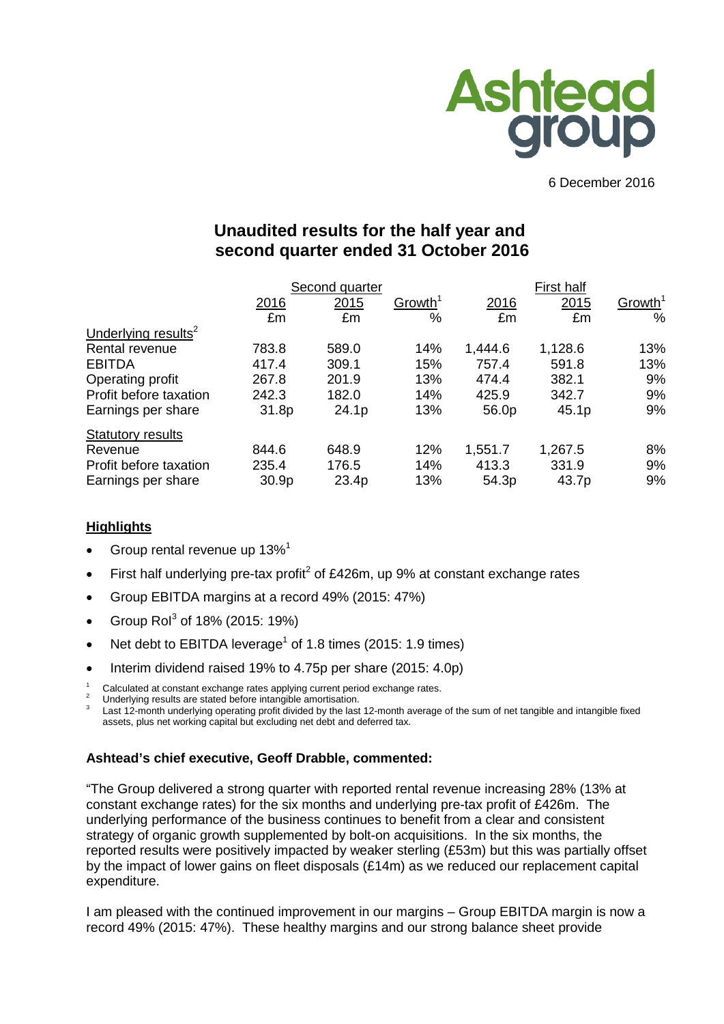

6 December 2016

# **Unaudited results for the half year and second quarter ended 31 October 2016**

|                                 |       | Second quarter |                     | First half |         |                     |  |
|---------------------------------|-------|----------------|---------------------|------------|---------|---------------------|--|
|                                 | 2016  | 2015           | Growth <sup>1</sup> | 2016       | 2015    | Growth <sup>1</sup> |  |
|                                 | £m    | £m             | $\%$                | £m         | £m      | %                   |  |
| Underlying results <sup>2</sup> |       |                |                     |            |         |                     |  |
| Rental revenue                  | 783.8 | 589.0          | 14%                 | 1,444.6    | 1,128.6 | 13%                 |  |
| <b>EBITDA</b>                   | 417.4 | 309.1          | 15%                 | 757.4      | 591.8   | 13%                 |  |
| Operating profit                | 267.8 | 201.9          | 13%                 | 474.4      | 382.1   | 9%                  |  |
| Profit before taxation          | 242.3 | 182.0          | 14%                 | 425.9      | 342.7   | 9%                  |  |
| Earnings per share              | 31.8p | 24.1p          | 13%                 | 56.0p      | 45.1p   | 9%                  |  |
| <b>Statutory results</b>        |       |                |                     |            |         |                     |  |
| Revenue                         | 844.6 | 648.9          | 12%                 | 1,551.7    | 1,267.5 | 8%                  |  |
| Profit before taxation          | 235.4 | 176.5          | 14%                 | 413.3      | 331.9   | 9%                  |  |
| Earnings per share              | 30.9p | 23.4p          | 13%                 | 54.3p      | 43.7p   | 9%                  |  |

## **Highlights**

- Group rental revenue up  $13\%$ <sup>1</sup>
- First half underlying pre-tax profit<sup>2</sup> of £426m, up 9% at constant exchange rates
- Group EBITDA margins at a record 49% (2015: 47%)
- Group  $\text{Ro}^3$  of 18% (2015: 19%)
- Net debt to EBITDA leverage<sup>1</sup> of 1.8 times (2015: 1.9 times)
- Interim dividend raised 19% to 4.75p per share (2015: 4.0p)
- 
- 

Calculated at constant exchange rates applying current period exchange rates.<br>Underlying results are stated before intangible amortisation.<br>Last 12-month underlying operating profit divided by the last 12-month average of assets, plus net working capital but excluding net debt and deferred tax.

## **Ashtead's chief executive, Geoff Drabble, commented:**

"The Group delivered a strong quarter with reported rental revenue increasing 28% (13% at constant exchange rates) for the six months and underlying pre-tax profit of £426m. The underlying performance of the business continues to benefit from a clear and consistent strategy of organic growth supplemented by bolt-on acquisitions. In the six months, the reported results were positively impacted by weaker sterling (£53m) but this was partially offset by the impact of lower gains on fleet disposals (£14m) as we reduced our replacement capital expenditure.

I am pleased with the continued improvement in our margins – Group EBITDA margin is now a record 49% (2015: 47%). These healthy margins and our strong balance sheet provide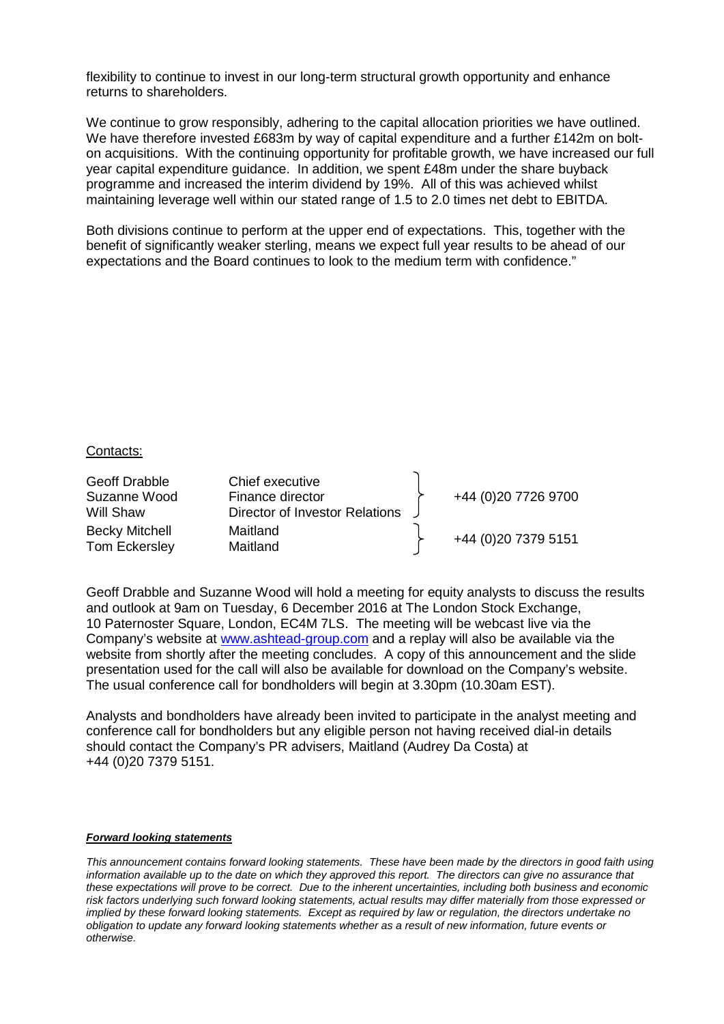flexibility to continue to invest in our long-term structural growth opportunity and enhance returns to shareholders.

We continue to grow responsibly, adhering to the capital allocation priorities we have outlined. We have therefore invested £683m by way of capital expenditure and a further £142m on bolton acquisitions. With the continuing opportunity for profitable growth, we have increased our full year capital expenditure guidance. In addition, we spent £48m under the share buyback programme and increased the interim dividend by 19%. All of this was achieved whilst maintaining leverage well within our stated range of 1.5 to 2.0 times net debt to EBITDA.

Both divisions continue to perform at the upper end of expectations. This, together with the benefit of significantly weaker sterling, means we expect full year results to be ahead of our expectations and the Board continues to look to the medium term with confidence."

#### Contacts:

| Geoff Drabble<br>Suzanne Wood<br>Will Shaw | Chief executive<br>Finance director<br>Director of Investor Relations | +44 (0)20 7726 9700  |
|--------------------------------------------|-----------------------------------------------------------------------|----------------------|
| <b>Becky Mitchell</b><br>Tom Eckersley     | Maitland<br>Maitland                                                  | +44 (0) 20 7379 5151 |

Geoff Drabble and Suzanne Wood will hold a meeting for equity analysts to discuss the results and outlook at 9am on Tuesday, 6 December 2016 at The London Stock Exchange, 10 Paternoster Square, London, EC4M 7LS. The meeting will be webcast live via the Company's website at [www.ashtead-group.com](http://www.ashtead-group.com/) and a replay will also be available via the website from shortly after the meeting concludes. A copy of this announcement and the slide presentation used for the call will also be available for download on the Company's website. The usual conference call for bondholders will begin at 3.30pm (10.30am EST).

Analysts and bondholders have already been invited to participate in the analyst meeting and conference call for bondholders but any eligible person not having received dial-in details should contact the Company's PR advisers, Maitland (Audrey Da Costa) at +44 (0)20 7379 5151.

#### *Forward looking statements*

*This announcement contains forward looking statements. These have been made by the directors in good faith using information available up to the date on which they approved this report. The directors can give no assurance that these expectations will prove to be correct. Due to the inherent uncertainties, including both business and economic risk factors underlying such forward looking statements, actual results may differ materially from those expressed or implied by these forward looking statements. Except as required by law or regulation, the directors undertake no obligation to update any forward looking statements whether as a result of new information, future events or otherwise.*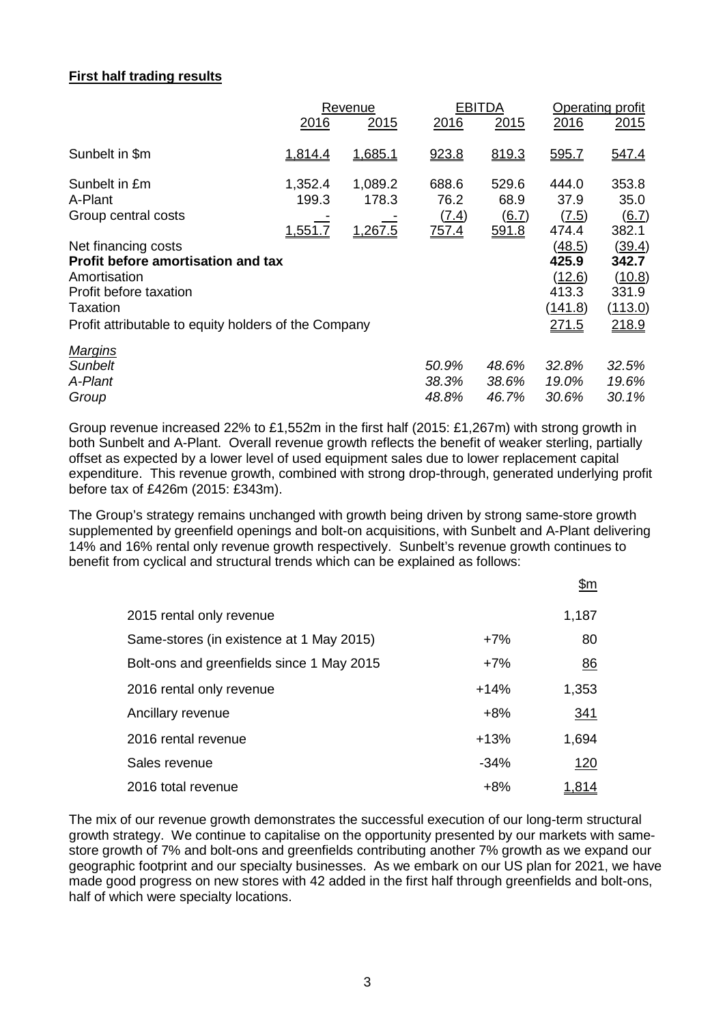# **First half trading results**

|                                                      |         | Revenue |       | <b>EBITDA</b> | Operating profit |         |  |
|------------------------------------------------------|---------|---------|-------|---------------|------------------|---------|--|
|                                                      | 2016    | 2015    | 2016  | 2015          | 2016             | 2015    |  |
| Sunbelt in \$m                                       | 1,814.4 | 1,685.1 | 923.8 | 819.3         | 595.7            | 547.4   |  |
| Sunbelt in £m                                        | 1,352.4 | 1,089.2 | 688.6 | 529.6         | 444.0            | 353.8   |  |
| A-Plant                                              | 199.3   | 178.3   | 76.2  | 68.9          | 37.9             | 35.0    |  |
| Group central costs                                  |         |         | (7.4) | (6.7)         | (7.5)            | (6.7)   |  |
|                                                      | 1,551.7 | 1,267.5 | 757.4 | 591.8         | 474.4            | 382.1   |  |
| Net financing costs                                  |         |         |       |               | (48.5)           | (39.4)  |  |
| <b>Profit before amortisation and tax</b>            |         |         |       |               | 425.9            | 342.7   |  |
| Amortisation                                         |         |         |       |               | (12.6)           | (10.8)  |  |
| Profit before taxation                               |         |         |       |               | 413.3            | 331.9   |  |
| Taxation                                             |         |         |       |               | (141.8)          | (113.0) |  |
| Profit attributable to equity holders of the Company |         |         |       |               | 271.5            | 218.9   |  |
| <b>Margins</b>                                       |         |         |       |               |                  |         |  |
| <b>Sunbelt</b>                                       |         |         | 50.9% | 48.6%         | 32.8%            | 32.5%   |  |
| A-Plant                                              |         |         | 38.3% | 38.6%         | 19.0%            | 19.6%   |  |
| Group                                                |         |         | 48.8% | 46.7%         | 30.6%            | 30.1%   |  |

Group revenue increased 22% to £1,552m in the first half (2015: £1,267m) with strong growth in both Sunbelt and A-Plant. Overall revenue growth reflects the benefit of weaker sterling, partially offset as expected by a lower level of used equipment sales due to lower replacement capital expenditure. This revenue growth, combined with strong drop-through, generated underlying profit before tax of £426m (2015: £343m).

The Group's strategy remains unchanged with growth being driven by strong same-store growth supplemented by greenfield openings and bolt-on acquisitions, with Sunbelt and A-Plant delivering 14% and 16% rental only revenue growth respectively. Sunbelt's revenue growth continues to benefit from cyclical and structural trends which can be explained as follows:

|                                           |        | \$m          |
|-------------------------------------------|--------|--------------|
| 2015 rental only revenue                  |        | 1,187        |
| Same-stores (in existence at 1 May 2015)  | $+7%$  | 80           |
| Bolt-ons and greenfields since 1 May 2015 | $+7%$  | 86           |
| 2016 rental only revenue                  | $+14%$ | 1,353        |
| Ancillary revenue                         | $+8%$  | <u>341</u>   |
| 2016 rental revenue                       | $+13%$ | 1,694        |
| Sales revenue                             | $-34%$ | 120          |
| 2016 total revenue                        | $+8%$  | <u>1,814</u> |

The mix of our revenue growth demonstrates the successful execution of our long-term structural growth strategy. We continue to capitalise on the opportunity presented by our markets with samestore growth of 7% and bolt-ons and greenfields contributing another 7% growth as we expand our geographic footprint and our specialty businesses. As we embark on our US plan for 2021, we have made good progress on new stores with 42 added in the first half through greenfields and bolt-ons, half of which were specialty locations.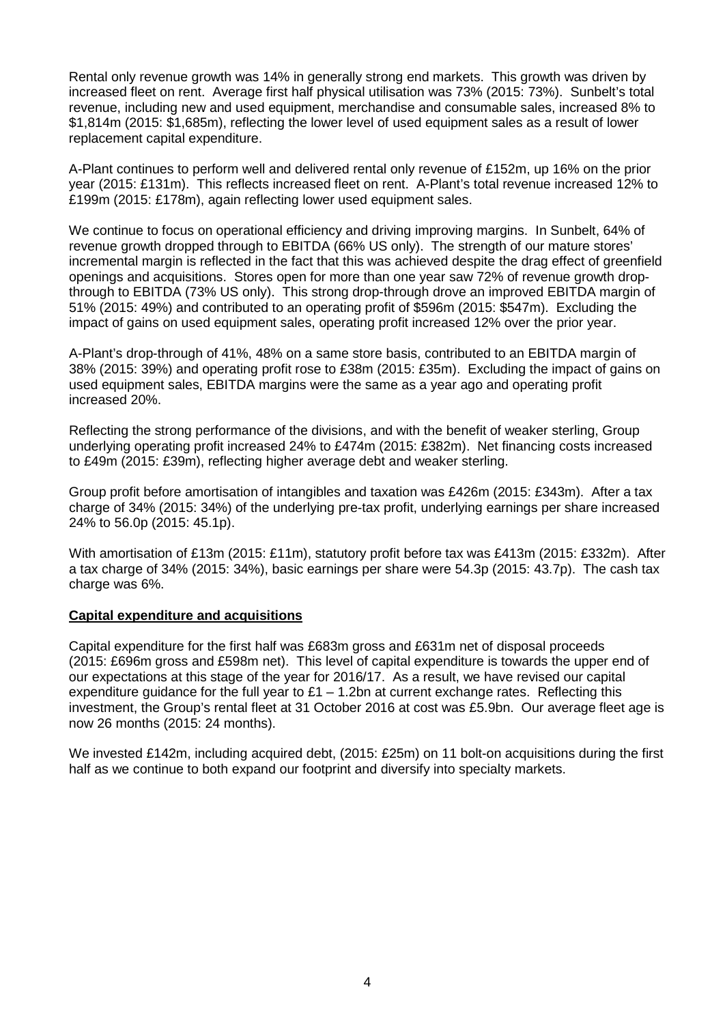Rental only revenue growth was 14% in generally strong end markets. This growth was driven by increased fleet on rent. Average first half physical utilisation was 73% (2015: 73%). Sunbelt's total revenue, including new and used equipment, merchandise and consumable sales, increased 8% to \$1,814m (2015: \$1,685m), reflecting the lower level of used equipment sales as a result of lower replacement capital expenditure.

A-Plant continues to perform well and delivered rental only revenue of £152m, up 16% on the prior year (2015: £131m). This reflects increased fleet on rent. A-Plant's total revenue increased 12% to £199m (2015: £178m), again reflecting lower used equipment sales.

We continue to focus on operational efficiency and driving improving margins. In Sunbelt, 64% of revenue growth dropped through to EBITDA (66% US only). The strength of our mature stores' incremental margin is reflected in the fact that this was achieved despite the drag effect of greenfield openings and acquisitions. Stores open for more than one year saw 72% of revenue growth dropthrough to EBITDA (73% US only). This strong drop-through drove an improved EBITDA margin of 51% (2015: 49%) and contributed to an operating profit of \$596m (2015: \$547m). Excluding the impact of gains on used equipment sales, operating profit increased 12% over the prior year.

A-Plant's drop-through of 41%, 48% on a same store basis, contributed to an EBITDA margin of 38% (2015: 39%) and operating profit rose to £38m (2015: £35m). Excluding the impact of gains on used equipment sales, EBITDA margins were the same as a year ago and operating profit increased 20%.

Reflecting the strong performance of the divisions, and with the benefit of weaker sterling, Group underlying operating profit increased 24% to £474m (2015: £382m). Net financing costs increased to £49m (2015: £39m), reflecting higher average debt and weaker sterling.

Group profit before amortisation of intangibles and taxation was £426m (2015: £343m). After a tax charge of 34% (2015: 34%) of the underlying pre-tax profit, underlying earnings per share increased 24% to 56.0p (2015: 45.1p).

With amortisation of £13m (2015: £11m), statutory profit before tax was £413m (2015: £332m). After a tax charge of 34% (2015: 34%), basic earnings per share were 54.3p (2015: 43.7p). The cash tax charge was 6%.

## **Capital expenditure and acquisitions**

Capital expenditure for the first half was £683m gross and £631m net of disposal proceeds (2015: £696m gross and £598m net). This level of capital expenditure is towards the upper end of our expectations at this stage of the year for 2016/17. As a result, we have revised our capital expenditure quidance for the full year to  $£1 - 1.2$ bn at current exchange rates. Reflecting this investment, the Group's rental fleet at 31 October 2016 at cost was £5.9bn. Our average fleet age is now 26 months (2015: 24 months).

We invested £142m, including acquired debt, (2015: £25m) on 11 bolt-on acquisitions during the first half as we continue to both expand our footprint and diversify into specialty markets.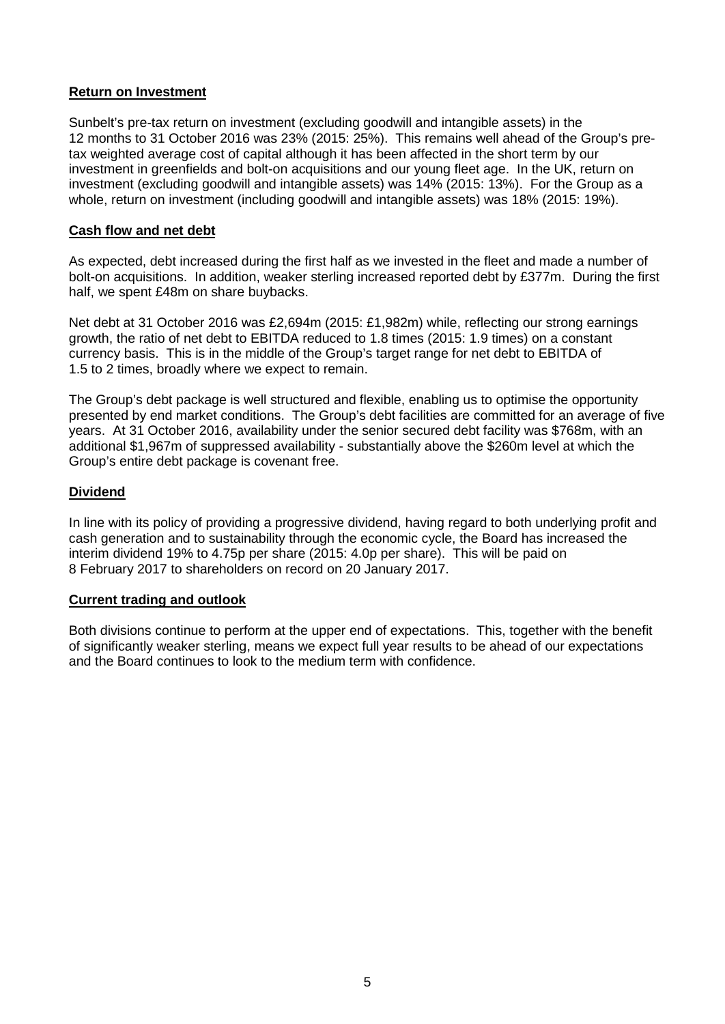## **Return on Investment**

Sunbelt's pre-tax return on investment (excluding goodwill and intangible assets) in the 12 months to 31 October 2016 was 23% (2015: 25%). This remains well ahead of the Group's pretax weighted average cost of capital although it has been affected in the short term by our investment in greenfields and bolt-on acquisitions and our young fleet age. In the UK, return on investment (excluding goodwill and intangible assets) was 14% (2015: 13%). For the Group as a whole, return on investment (including goodwill and intangible assets) was 18% (2015: 19%).

## **Cash flow and net debt**

As expected, debt increased during the first half as we invested in the fleet and made a number of bolt-on acquisitions. In addition, weaker sterling increased reported debt by £377m. During the first half, we spent £48m on share buybacks.

Net debt at 31 October 2016 was £2,694m (2015: £1,982m) while, reflecting our strong earnings growth, the ratio of net debt to EBITDA reduced to 1.8 times (2015: 1.9 times) on a constant currency basis. This is in the middle of the Group's target range for net debt to EBITDA of 1.5 to 2 times, broadly where we expect to remain.

The Group's debt package is well structured and flexible, enabling us to optimise the opportunity presented by end market conditions. The Group's debt facilities are committed for an average of five years. At 31 October 2016, availability under the senior secured debt facility was \$768m, with an additional \$1,967m of suppressed availability - substantially above the \$260m level at which the Group's entire debt package is covenant free.

# **Dividend**

In line with its policy of providing a progressive dividend, having regard to both underlying profit and cash generation and to sustainability through the economic cycle, the Board has increased the interim dividend 19% to 4.75p per share (2015: 4.0p per share). This will be paid on 8 February 2017 to shareholders on record on 20 January 2017.

## **Current trading and outlook**

Both divisions continue to perform at the upper end of expectations. This, together with the benefit of significantly weaker sterling, means we expect full year results to be ahead of our expectations and the Board continues to look to the medium term with confidence.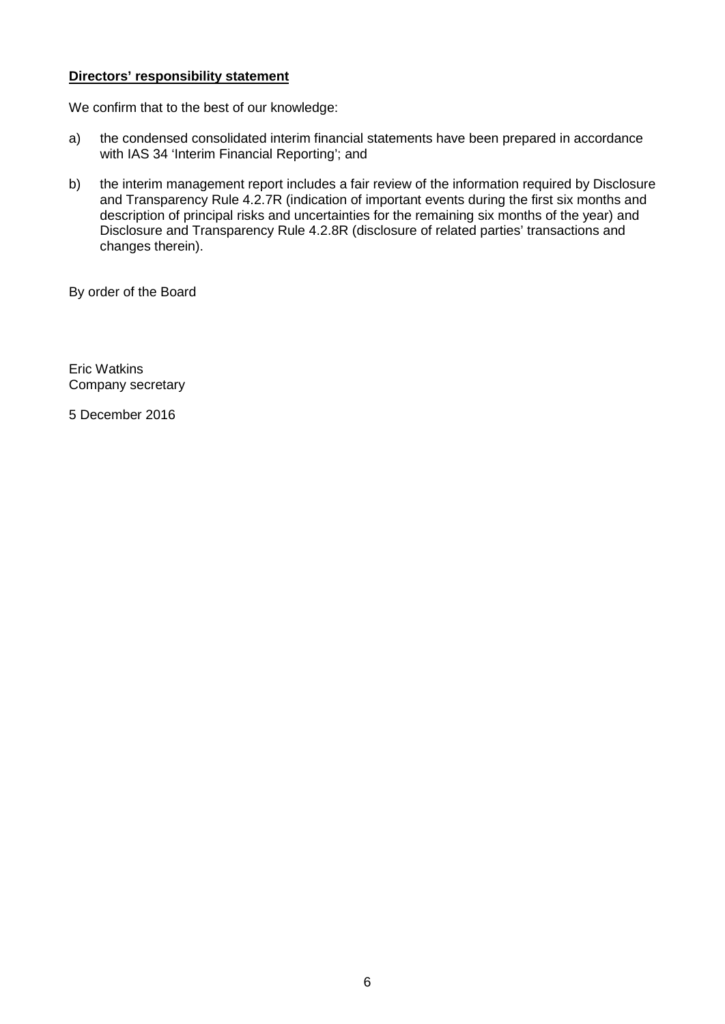## **Directors' responsibility statement**

We confirm that to the best of our knowledge:

- a) the condensed consolidated interim financial statements have been prepared in accordance with IAS 34 'Interim Financial Reporting'; and
- b) the interim management report includes a fair review of the information required by Disclosure and Transparency Rule 4.2.7R (indication of important events during the first six months and description of principal risks and uncertainties for the remaining six months of the year) and Disclosure and Transparency Rule 4.2.8R (disclosure of related parties' transactions and changes therein).

By order of the Board

Eric Watkins Company secretary

5 December 2016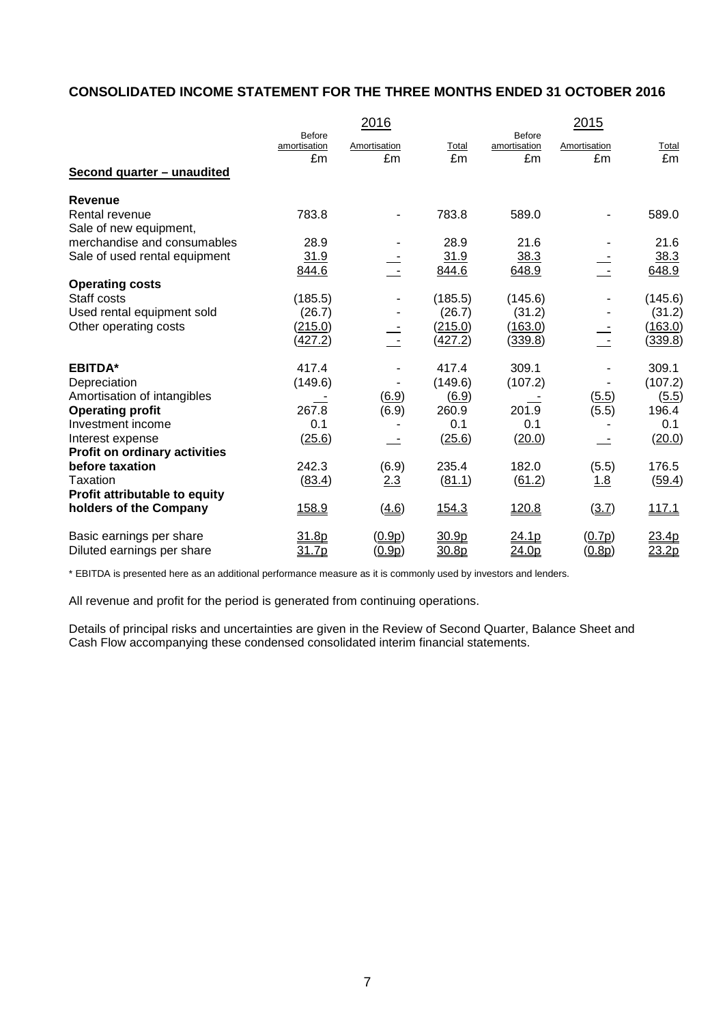# **CONSOLIDATED INCOME STATEMENT FOR THE THREE MONTHS ENDED 31 OCTOBER 2016**

|                                      |                               | 2016                     |         |                               | 2015         |              |
|--------------------------------------|-------------------------------|--------------------------|---------|-------------------------------|--------------|--------------|
|                                      | <b>Before</b><br>amortisation | Amortisation             | Total   | <b>Before</b><br>amortisation | Amortisation | <b>Total</b> |
|                                      | £m                            | £m                       | £m      | £m                            | £m           | £m           |
| Second quarter - unaudited           |                               |                          |         |                               |              |              |
| <b>Revenue</b>                       |                               |                          |         |                               |              |              |
| Rental revenue                       | 783.8                         |                          | 783.8   | 589.0                         |              | 589.0        |
| Sale of new equipment,               |                               |                          |         |                               |              |              |
| merchandise and consumables          | 28.9                          |                          | 28.9    | 21.6                          |              | 21.6         |
| Sale of used rental equipment        | 31.9                          |                          | 31.9    | 38.3                          |              | 38.3         |
|                                      | 844.6                         | $\overline{\phantom{a}}$ | 844.6   | 648.9                         | Ę            | 648.9        |
| <b>Operating costs</b>               |                               |                          |         |                               |              |              |
| Staff costs                          | (185.5)                       |                          | (185.5) | (145.6)                       |              | (145.6)      |
| Used rental equipment sold           | (26.7)                        |                          | (26.7)  | (31.2)                        |              | (31.2)       |
| Other operating costs                | (215.0)                       |                          | (215.0) | (163.0)                       |              | (163.0)      |
|                                      | (427.2)                       |                          | (427.2) | (339.8)                       |              | (339.8)      |
| <b>EBITDA*</b>                       | 417.4                         |                          | 417.4   | 309.1                         |              | 309.1        |
| Depreciation                         | (149.6)                       |                          | (149.6) | (107.2)                       |              | (107.2)      |
| Amortisation of intangibles          |                               | (6.9)                    | (6.9)   |                               | (5.5)        | (5.5)        |
| <b>Operating profit</b>              | 267.8                         | (6.9)                    | 260.9   | 201.9                         | (5.5)        | 196.4        |
| Investment income                    | 0.1                           |                          | 0.1     | 0.1                           |              | 0.1          |
| Interest expense                     | (25.6)                        | $\overline{\phantom{a}}$ | (25.6)  | (20.0)                        | $-1$         | (20.0)       |
| <b>Profit on ordinary activities</b> |                               |                          |         |                               |              |              |
| before taxation                      | 242.3                         | (6.9)                    | 235.4   | 182.0                         | (5.5)        | 176.5        |
| Taxation                             | (83.4)                        | 2.3                      | (81.1)  | (61.2)                        | 1.8          | (59.4)       |
| Profit attributable to equity        |                               |                          |         |                               |              |              |
| holders of the Company               | 158.9                         | (4.6)                    | 154.3   | 120.8                         | (3.7)        | 117.1        |
| Basic earnings per share             | 31.8p                         | (0.9p)                   | 30.9p   | 24.1p                         | (0.7p)       | 23.4p        |
| Diluted earnings per share           | 31.7p                         | (0.9p)                   | 30.8p   | 24.0 <sub>p</sub>             | (0.8p)       | 23.2p        |

\* EBITDA is presented here as an additional performance measure as it is commonly used by investors and lenders.

All revenue and profit for the period is generated from continuing operations.

Details of principal risks and uncertainties are given in the Review of Second Quarter, Balance Sheet and Cash Flow accompanying these condensed consolidated interim financial statements.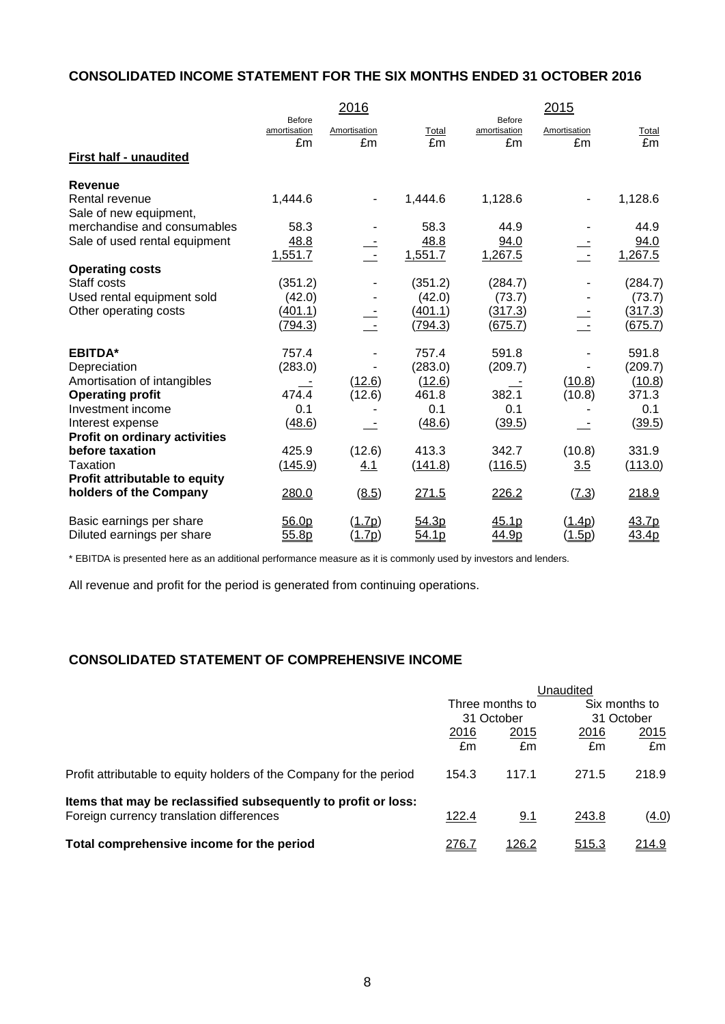# **CONSOLIDATED INCOME STATEMENT FOR THE SIX MONTHS ENDED 31 OCTOBER 2016**

|                                          |                                     | 2016               |             |                              | 2015                     |             |
|------------------------------------------|-------------------------------------|--------------------|-------------|------------------------------|--------------------------|-------------|
|                                          | <b>Before</b><br>amortisation<br>£m | Amortisation<br>£m | Total<br>£m | Before<br>amortisation<br>£m | Amortisation<br>£m       | Total<br>£m |
| First half - unaudited                   |                                     |                    |             |                              |                          |             |
| <b>Revenue</b>                           |                                     |                    |             |                              |                          |             |
| Rental revenue<br>Sale of new equipment, | 1,444.6                             |                    | 1,444.6     | 1,128.6                      | $\overline{\phantom{0}}$ | 1,128.6     |
| merchandise and consumables              | 58.3                                |                    | 58.3        | 44.9                         |                          | 44.9        |
| Sale of used rental equipment            | 48.8                                |                    | 48.8        | 94.0                         |                          | 94.0        |
|                                          | 1,551.7                             |                    | 1,551.7     | 1,267.5                      |                          | 1,267.5     |
| <b>Operating costs</b>                   |                                     |                    |             |                              |                          |             |
| Staff costs                              | (351.2)                             |                    | (351.2)     | (284.7)                      |                          | (284.7)     |
| Used rental equipment sold               | (42.0)                              |                    | (42.0)      | (73.7)                       |                          | (73.7)      |
| Other operating costs                    | (401.1)                             |                    | (401.1)     | (317.3)                      |                          | (317.3)     |
|                                          | (794.3)                             |                    | (794.3)     | <u>(675.7)</u>               |                          | (675.7)     |
| <b>EBITDA*</b>                           | 757.4                               |                    | 757.4       | 591.8                        |                          | 591.8       |
| Depreciation                             | (283.0)                             |                    | (283.0)     | (209.7)                      |                          | (209.7)     |
| Amortisation of intangibles              |                                     | (12.6)             | (12.6)      |                              | (10.8)                   | (10.8)      |
| <b>Operating profit</b>                  | 474.4                               | (12.6)             | 461.8       | 382.1                        | (10.8)                   | 371.3       |
| Investment income                        | 0.1                                 |                    | 0.1         | 0.1                          |                          | 0.1         |
| Interest expense                         | (48.6)                              |                    | (48.6)      | (39.5)                       |                          | (39.5)      |
| <b>Profit on ordinary activities</b>     |                                     |                    |             |                              |                          |             |
| before taxation                          | 425.9                               | (12.6)             | 413.3       | 342.7                        | (10.8)                   | 331.9       |
| <b>Taxation</b>                          | (145.9)                             | 4.1                | (141.8)     | (116.5)                      | 3.5                      | (113.0)     |
| Profit attributable to equity            |                                     |                    |             |                              |                          |             |
| holders of the Company                   | 280.0                               | (8.5)              | 271.5       | 226.2                        | (7.3)                    | 218.9       |
| Basic earnings per share                 | 56.0 <sub>p</sub>                   | (1.7p)             | 54.3p       | 45.1p                        | (1.4p)                   | 43.7p       |
| Diluted earnings per share               | 55.8p                               | ( <u>1.7p</u> )    | 54.1p       | 44.9p                        | <u>(1.5p)</u>            | 43.4p       |

\* EBITDA is presented here as an additional performance measure as it is commonly used by investors and lenders.

All revenue and profit for the period is generated from continuing operations.

# **CONSOLIDATED STATEMENT OF COMPREHENSIVE INCOME**

|                                                                     | Unaudited       |            |              |               |  |
|---------------------------------------------------------------------|-----------------|------------|--------------|---------------|--|
|                                                                     | Three months to |            |              | Six months to |  |
|                                                                     |                 | 31 October | 31 October   |               |  |
|                                                                     | 2016            | 2015       | 2016         | 2015          |  |
|                                                                     | £m              | £m         | £m           | £m            |  |
| Profit attributable to equity holders of the Company for the period | 154.3           | 117.1      | 271.5        | 218.9         |  |
| Items that may be reclassified subsequently to profit or loss:      |                 |            |              |               |  |
| Foreign currency translation differences                            | 122.4           | 9.1        | 243.8        | (4.0)         |  |
| Total comprehensive income for the period                           | 276.7           | 126.2      | <u>515.3</u> | 214.9         |  |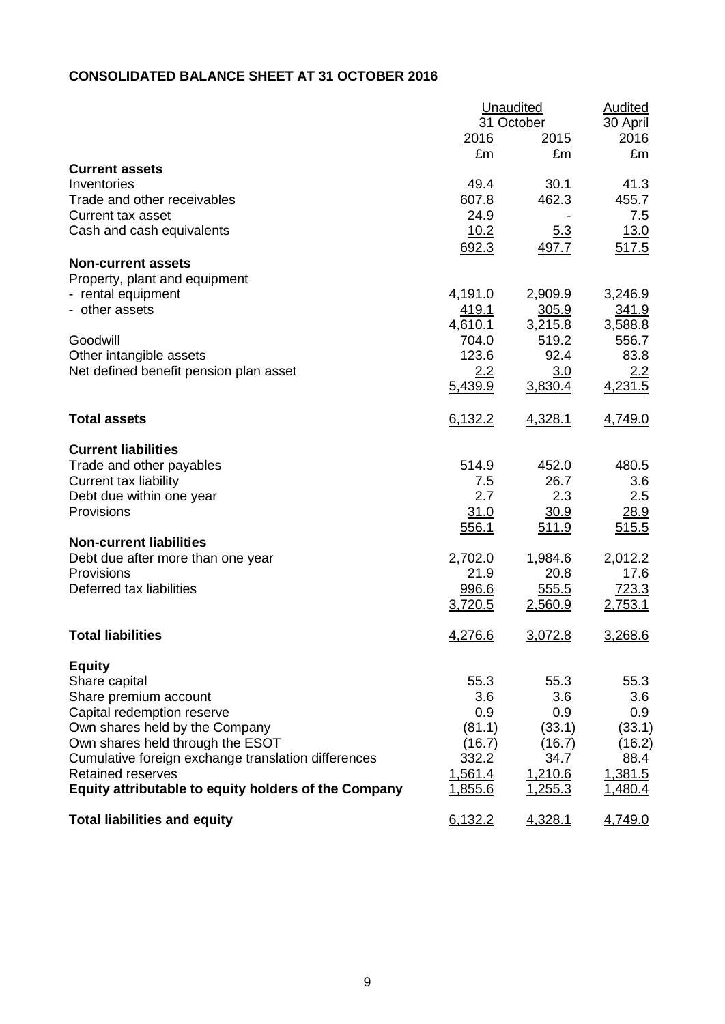# **CONSOLIDATED BALANCE SHEET AT 31 OCTOBER 2016**

|                                                      | <b>Unaudited</b> | <b>Audited</b>    |            |
|------------------------------------------------------|------------------|-------------------|------------|
|                                                      |                  | 31 October        | 30 April   |
|                                                      | 2016<br>£m       | <u>2015</u><br>£m | 2016<br>£m |
| <b>Current assets</b>                                |                  |                   |            |
| Inventories                                          | 49.4             | 30.1              | 41.3       |
| Trade and other receivables                          | 607.8            | 462.3             | 455.7      |
| <b>Current tax asset</b>                             | 24.9             |                   | 7.5        |
| Cash and cash equivalents                            | 10.2             | <u>5.3</u>        | 13.0       |
|                                                      | 692.3            | 497.7             | 517.5      |
| <b>Non-current assets</b>                            |                  |                   |            |
| Property, plant and equipment                        |                  |                   |            |
| - rental equipment                                   | 4,191.0          | 2,909.9           | 3,246.9    |
| - other assets                                       | <u>419.1</u>     | 305.9             | 341.9      |
|                                                      | 4,610.1          | 3,215.8           | 3,588.8    |
| Goodwill                                             | 704.0            | 519.2             | 556.7      |
| Other intangible assets                              | 123.6            | 92.4              | 83.8       |
| Net defined benefit pension plan asset               | 2.2              | 3.0               | 2.2        |
|                                                      | 5,439.9          | 3,830.4           | 4,231.5    |
|                                                      |                  |                   |            |
| <b>Total assets</b>                                  | 6,132.2          | 4,328.1           | 4,749.0    |
|                                                      |                  |                   |            |
| <b>Current liabilities</b>                           |                  |                   |            |
| Trade and other payables                             | 514.9            | 452.0             | 480.5      |
| Current tax liability                                | 7.5              | 26.7              | 3.6        |
| Debt due within one year                             | 2.7              | 2.3               | 2.5        |
| Provisions                                           | 31.0             | 30.9              | 28.9       |
|                                                      | 556.1            | 511.9             | 515.5      |
| <b>Non-current liabilities</b>                       |                  |                   |            |
| Debt due after more than one year                    | 2,702.0          | 1,984.6           | 2,012.2    |
| Provisions                                           | 21.9             | 20.8              | 17.6       |
| Deferred tax liabilities                             | 996.6            | 555.5             | 723.3      |
|                                                      | 3,720.5          | 2,560.9           | 2,753.1    |
| <b>Total liabilities</b>                             |                  |                   |            |
|                                                      | <u>4,276.6</u>   | 3,072.8           | 3,268.6    |
| <b>Equity</b>                                        |                  |                   |            |
| Share capital                                        | 55.3             | 55.3              | 55.3       |
| Share premium account                                | 3.6              | 3.6               | 3.6        |
| Capital redemption reserve                           | 0.9              | 0.9               | 0.9        |
| Own shares held by the Company                       | (81.1)           | (33.1)            | (33.1)     |
| Own shares held through the ESOT                     | (16.7)           | (16.7)            | (16.2)     |
| Cumulative foreign exchange translation differences  | 332.2            | 34.7              | 88.4       |
| <b>Retained reserves</b>                             | 1,561.4          | 1,210.6           | 1,381.5    |
| Equity attributable to equity holders of the Company | 1,855.6          | 1,255.3           | 1,480.4    |
| <b>Total liabilities and equity</b>                  | 6,132.2          | 4,328.1           | 4,749.0    |
|                                                      |                  |                   |            |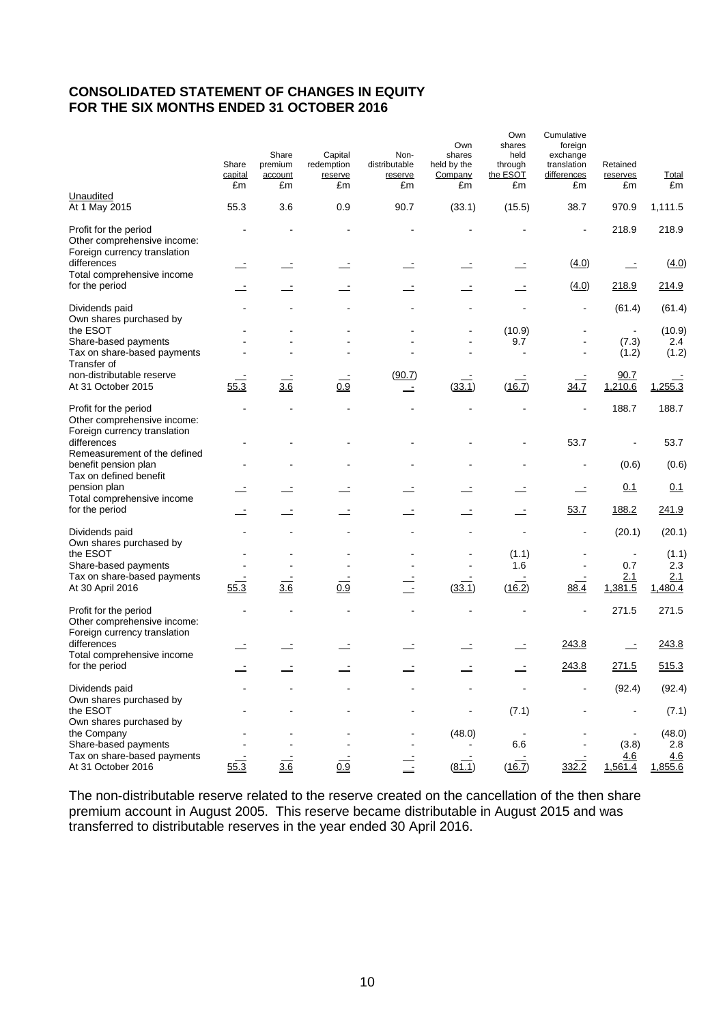# **CONSOLIDATED STATEMENT OF CHANGES IN EQUITY FOR THE SIX MONTHS ENDED 31 OCTOBER 2016**

|                                                                                      | Share<br>capital<br>£m | Share<br>premium<br>account<br>£m | Capital<br>redemption<br>reserve<br>£m | Non-<br>distributable<br>reserve<br>£m | Own<br>shares<br>held by the<br>Company<br>£m | Own<br>shares<br>held<br>through<br>the ESOT<br>£m | Cumulative<br>foreign<br>exchange<br>translation<br>differences<br>£m | Retained<br>reserves<br>£m | Total<br>£m    |
|--------------------------------------------------------------------------------------|------------------------|-----------------------------------|----------------------------------------|----------------------------------------|-----------------------------------------------|----------------------------------------------------|-----------------------------------------------------------------------|----------------------------|----------------|
| Unaudited<br>At 1 May 2015                                                           | 55.3                   | 3.6                               | 0.9                                    | 90.7                                   | (33.1)                                        | (15.5)                                             | 38.7                                                                  | 970.9                      | 1,111.5        |
| Profit for the period<br>Other comprehensive income:<br>Foreign currency translation |                        |                                   |                                        |                                        |                                               |                                                    |                                                                       | 218.9                      | 218.9          |
| differences<br>Total comprehensive income                                            |                        |                                   | $\equiv$                               |                                        |                                               |                                                    | (4.0)                                                                 | $\equiv$                   | (4.0)          |
| for the period                                                                       |                        |                                   |                                        |                                        |                                               |                                                    | (4.0)                                                                 | 218.9                      | 214.9          |
| Dividends paid<br>Own shares purchased by                                            |                        |                                   |                                        |                                        |                                               |                                                    | $\overline{a}$                                                        | (61.4)                     | (61.4)         |
| the ESOT                                                                             |                        |                                   |                                        |                                        |                                               | (10.9)                                             |                                                                       | $\blacksquare$             | (10.9)         |
| Share-based payments<br>Tax on share-based payments<br>Transfer of                   |                        |                                   |                                        |                                        |                                               | 9.7                                                |                                                                       | (7.3)<br>(1.2)             | 2.4<br>(1.2)   |
| non-distributable reserve<br>At 31 October 2015                                      | 55.3                   | $\frac{1}{3.6}$                   | 0.9                                    | (90.7)<br>$\equiv$                     | (33.1)                                        | (16.7)                                             | 34.7                                                                  | 90.7<br>1,210.6            | 1,255.3        |
| Profit for the period<br>Other comprehensive income:<br>Foreign currency translation |                        |                                   |                                        |                                        |                                               |                                                    |                                                                       | 188.7                      | 188.7          |
| differences<br>Remeasurement of the defined                                          |                        |                                   |                                        |                                        |                                               |                                                    | 53.7                                                                  | $\overline{a}$             | 53.7           |
| benefit pension plan<br>Tax on defined benefit                                       |                        |                                   |                                        |                                        |                                               |                                                    | $\blacksquare$                                                        | (0.6)                      | (0.6)          |
| pension plan<br>Total comprehensive income                                           |                        |                                   |                                        |                                        |                                               |                                                    | $\overline{\phantom{a}}$                                              | 0.1                        | 0.1            |
| for the period                                                                       |                        |                                   |                                        |                                        |                                               |                                                    | 53.7                                                                  | 188.2                      | 241.9          |
| Dividends paid<br>Own shares purchased by                                            |                        |                                   |                                        |                                        |                                               | $\overline{\phantom{a}}$                           | ÷                                                                     | (20.1)                     | (20.1)         |
| the ESOT<br>Share-based payments                                                     |                        |                                   |                                        |                                        |                                               | (1.1)<br>1.6                                       |                                                                       | 0.7                        | (1.1)<br>2.3   |
| Tax on share-based payments                                                          |                        |                                   |                                        |                                        |                                               |                                                    |                                                                       | 2.1                        | 2.1            |
| At 30 April 2016                                                                     | 55.3                   | 3.6                               | $\overline{0.9}$                       | $\overline{1}$                         | (33.1)                                        | (16.2)                                             | 88.4                                                                  | 1,381.5                    | 1,480.4        |
| Profit for the period<br>Other comprehensive income:<br>Foreign currency translation |                        |                                   |                                        |                                        |                                               |                                                    |                                                                       | 271.5                      | 271.5          |
| differences<br>Total comprehensive income                                            |                        |                                   |                                        |                                        |                                               |                                                    | 243.8                                                                 |                            | 243.8          |
| for the period                                                                       |                        |                                   |                                        |                                        |                                               |                                                    | 243.8                                                                 | 271.5                      | 515.3          |
| Dividends paid                                                                       |                        |                                   |                                        |                                        |                                               |                                                    |                                                                       | (92.4)                     | (92.4)         |
| Own shares purchased by<br>the ESOT                                                  |                        |                                   |                                        |                                        |                                               | (7.1)                                              |                                                                       |                            | (7.1)          |
| Own shares purchased by<br>the Company                                               |                        |                                   |                                        |                                        | (48.0)                                        |                                                    |                                                                       |                            | (48.0)         |
| Share-based payments                                                                 |                        |                                   |                                        |                                        |                                               | 6.6                                                |                                                                       | (3.8)                      | $2.8\,$        |
| Tax on share-based payments<br>At 31 October 2016                                    | 55.3                   | $\frac{1}{3.6}$                   | 0.9                                    |                                        | (81.1)                                        | (16.7)                                             | 332.2                                                                 | 4.6<br>1,561.4             | 4.6<br>1,855.6 |

The non-distributable reserve related to the reserve created on the cancellation of the then share premium account in August 2005. This reserve became distributable in August 2015 and was transferred to distributable reserves in the year ended 30 April 2016.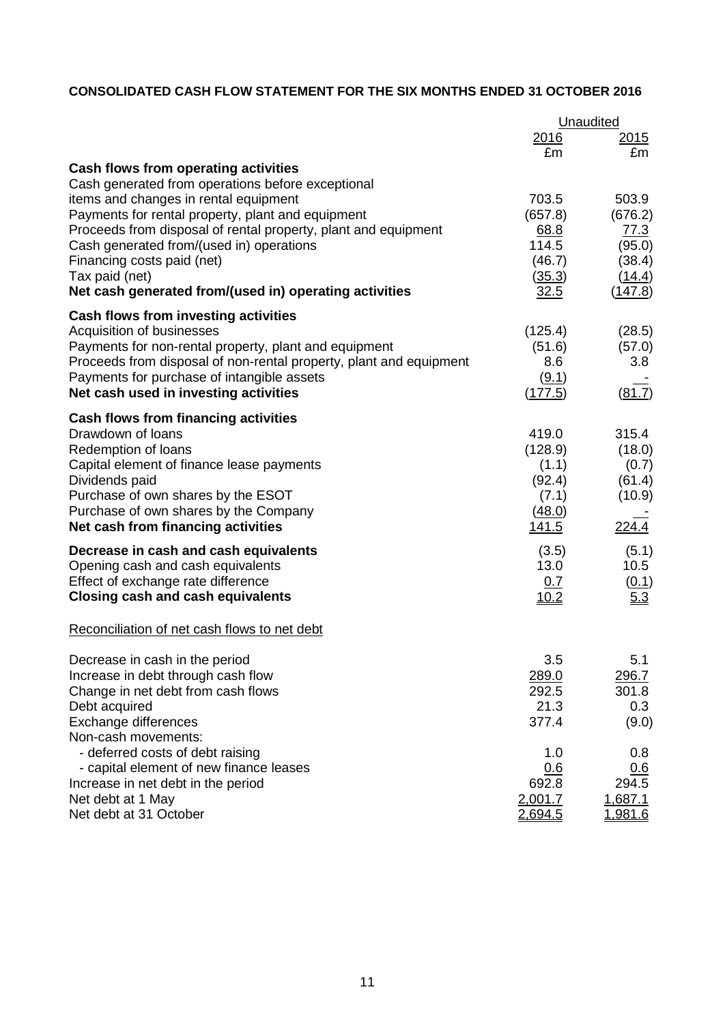# **CONSOLIDATED CASH FLOW STATEMENT FOR THE SIX MONTHS ENDED 31 OCTOBER 2016**

|                                                                    | Unaudited      |                |  |
|--------------------------------------------------------------------|----------------|----------------|--|
|                                                                    | <u>2016</u>    | <u> 2015</u>   |  |
|                                                                    | £m             | £m             |  |
| Cash flows from operating activities                               |                |                |  |
| Cash generated from operations before exceptional                  |                |                |  |
| items and changes in rental equipment                              | 703.5          | 503.9          |  |
| Payments for rental property, plant and equipment                  | (657.8)        | (676.2)        |  |
| Proceeds from disposal of rental property, plant and equipment     | 68.8           | 77.3           |  |
| Cash generated from/(used in) operations                           | 114.5          | (95.0)         |  |
| Financing costs paid (net)                                         | (46.7)         | (38.4)         |  |
| Tax paid (net)                                                     | (35.3)         | (14.4)         |  |
| Net cash generated from/(used in) operating activities             | 32.5           | <u>(147.8)</u> |  |
| Cash flows from investing activities                               |                |                |  |
| Acquisition of businesses                                          | (125.4)        | (28.5)         |  |
| Payments for non-rental property, plant and equipment              | (51.6)         | (57.0)         |  |
| Proceeds from disposal of non-rental property, plant and equipment | 8.6            | 3.8            |  |
| Payments for purchase of intangible assets                         | (9.1)          |                |  |
| Net cash used in investing activities                              | (177.5)        | (81.7)         |  |
| Cash flows from financing activities                               |                |                |  |
| Drawdown of loans                                                  | 419.0          | 315.4          |  |
| Redemption of loans                                                | (128.9)        | (18.0)         |  |
| Capital element of finance lease payments                          | (1.1)          | (0.7)          |  |
| Dividends paid                                                     | (92.4)         | (61.4)         |  |
| Purchase of own shares by the ESOT                                 | (7.1)          | (10.9)         |  |
| Purchase of own shares by the Company                              | (48.0)         |                |  |
| Net cash from financing activities                                 | <u> 141.5</u>  | 224.4          |  |
| Decrease in cash and cash equivalents                              | (3.5)          | (5.1)          |  |
| Opening cash and cash equivalents                                  | 13.0           | 10.5           |  |
| Effect of exchange rate difference                                 | 0.7            | (0.1)          |  |
| <b>Closing cash and cash equivalents</b>                           | 10.2           | 5.3            |  |
| Reconciliation of net cash flows to net debt                       |                |                |  |
| Decrease in cash in the period                                     | 3.5            | 5.1            |  |
| Increase in debt through cash flow                                 | 289.0          | <u>296.7</u>   |  |
| Change in net debt from cash flows                                 | 292.5          | 301.8          |  |
| Debt acquired                                                      | 21.3           | 0.3            |  |
| Exchange differences                                               | 377.4          | (9.0)          |  |
| Non-cash movements:                                                |                |                |  |
| - deferred costs of debt raising                                   | 1.0            | 0.8            |  |
| - capital element of new finance leases                            | 0.6            | 0.6            |  |
| Increase in net debt in the period                                 | 692.8          | 294.5          |  |
| Net debt at 1 May                                                  | 2,001.7        | 1,687.1        |  |
| Net debt at 31 October                                             | <u>2,694.5</u> | <u>1,981.6</u> |  |
|                                                                    |                |                |  |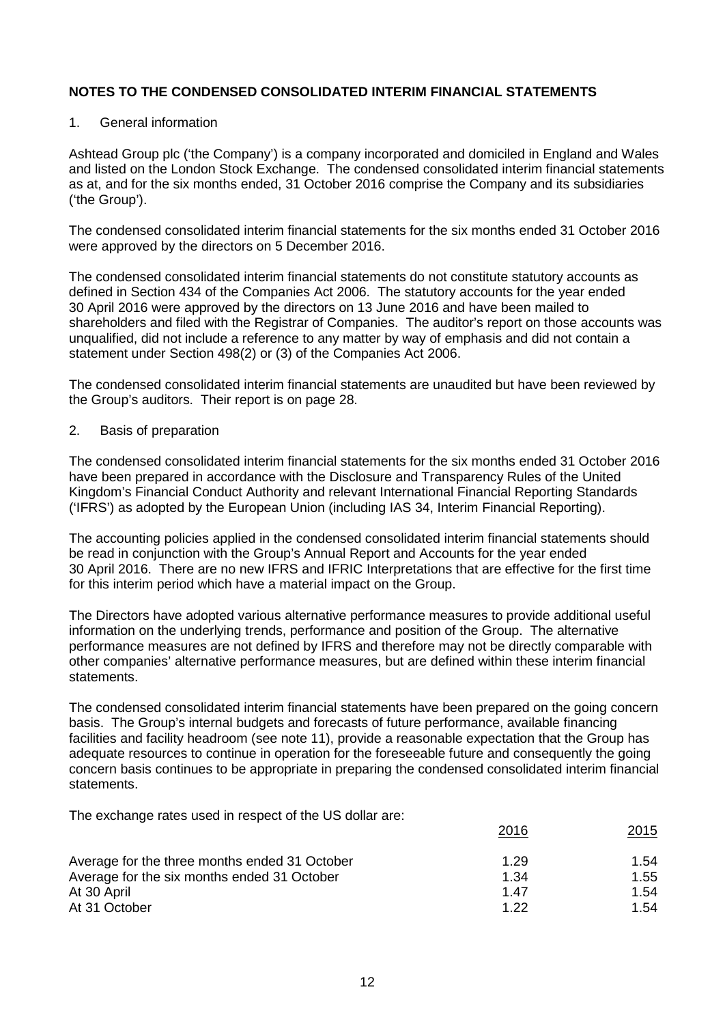#### 1. General information

Ashtead Group plc ('the Company') is a company incorporated and domiciled in England and Wales and listed on the London Stock Exchange. The condensed consolidated interim financial statements as at, and for the six months ended, 31 October 2016 comprise the Company and its subsidiaries ('the Group').

The condensed consolidated interim financial statements for the six months ended 31 October 2016 were approved by the directors on 5 December 2016.

The condensed consolidated interim financial statements do not constitute statutory accounts as defined in Section 434 of the Companies Act 2006. The statutory accounts for the year ended 30 April 2016 were approved by the directors on 13 June 2016 and have been mailed to shareholders and filed with the Registrar of Companies. The auditor's report on those accounts was unqualified, did not include a reference to any matter by way of emphasis and did not contain a statement under Section 498(2) or (3) of the Companies Act 2006.

The condensed consolidated interim financial statements are unaudited but have been reviewed by the Group's auditors. Their report is on page 28.

2. Basis of preparation

The condensed consolidated interim financial statements for the six months ended 31 October 2016 have been prepared in accordance with the Disclosure and Transparency Rules of the United Kingdom's Financial Conduct Authority and relevant International Financial Reporting Standards ('IFRS') as adopted by the European Union (including IAS 34, Interim Financial Reporting).

The accounting policies applied in the condensed consolidated interim financial statements should be read in conjunction with the Group's Annual Report and Accounts for the year ended 30 April 2016. There are no new IFRS and IFRIC Interpretations that are effective for the first time for this interim period which have a material impact on the Group.

The Directors have adopted various alternative performance measures to provide additional useful information on the underlying trends, performance and position of the Group. The alternative performance measures are not defined by IFRS and therefore may not be directly comparable with other companies' alternative performance measures, but are defined within these interim financial statements.

The condensed consolidated interim financial statements have been prepared on the going concern basis. The Group's internal budgets and forecasts of future performance, available financing facilities and facility headroom (see note 11), provide a reasonable expectation that the Group has adequate resources to continue in operation for the foreseeable future and consequently the going concern basis continues to be appropriate in preparing the condensed consolidated interim financial statements.

The exchange rates used in respect of the US dollar are:

| 2016 | 2015 |
|------|------|
| 1.29 | 1.54 |
| 1.34 | 1.55 |
| 1.47 | 1.54 |
| 1 22 | 1.54 |
|      |      |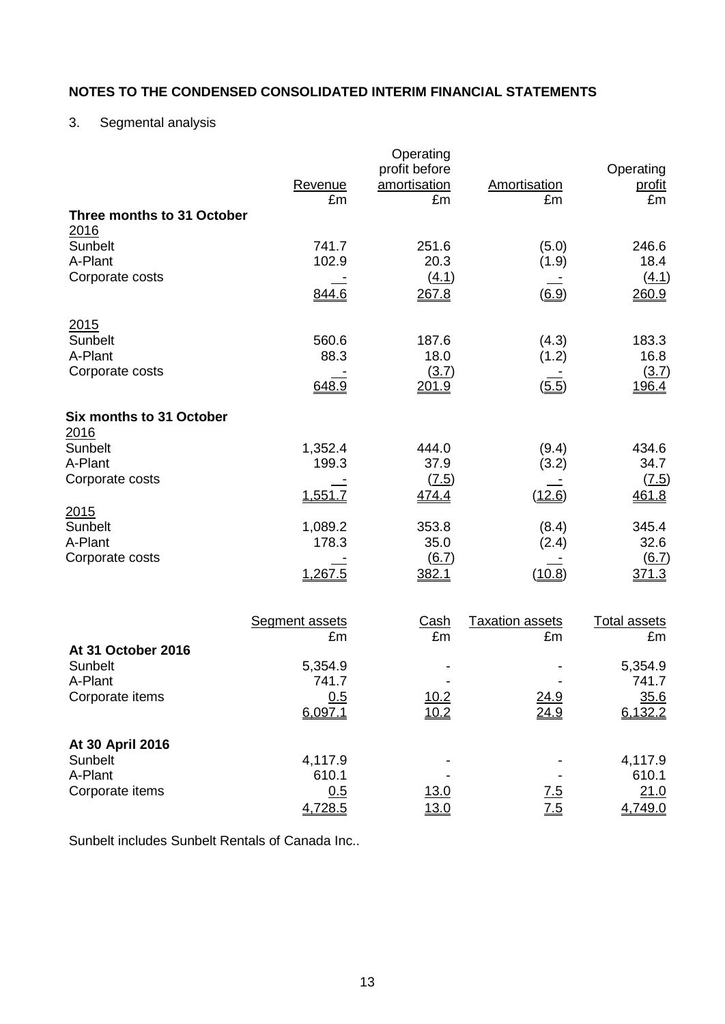# 3. Segmental analysis

| Three months to 31 October                      | Revenue<br>£m         | Operating<br>profit before<br>amortisation<br>£m | Amortisation<br>£m     | Operating<br><u>profit</u><br>£m |
|-------------------------------------------------|-----------------------|--------------------------------------------------|------------------------|----------------------------------|
| 2016                                            |                       |                                                  |                        |                                  |
| Sunbelt<br>A-Plant                              | 741.7<br>102.9        | 251.6<br>20.3                                    | (5.0)<br>(1.9)         | 246.6<br>18.4                    |
| Corporate costs                                 |                       | (4.1)                                            |                        | (4.1)                            |
|                                                 | <u>844.6</u>          | 267.8                                            | (6.9)                  | 260.9                            |
| 2015                                            |                       |                                                  |                        |                                  |
| Sunbelt                                         | 560.6                 | 187.6                                            | (4.3)                  | 183.3                            |
| A-Plant<br>Corporate costs                      | 88.3                  | 18.0<br>(3.7)                                    | (1.2)                  | 16.8<br>(3.7)                    |
|                                                 | 648.9                 | 201.9                                            | (5.5)                  | 196.4                            |
| <b>Six months to 31 October</b><br><u> 2016</u> |                       |                                                  |                        |                                  |
| Sunbelt                                         | 1,352.4               | 444.0                                            | (9.4)                  | 434.6                            |
| A-Plant<br>Corporate costs                      | 199.3                 | 37.9                                             | (3.2)                  | 34.7                             |
|                                                 | 1,551.7               | (7.5)<br>474.4                                   | (12.6)                 | (7.5)<br>461.8                   |
| 2015                                            |                       |                                                  |                        |                                  |
| Sunbelt                                         | 1,089.2               | 353.8                                            | (8.4)                  | 345.4                            |
| A-Plant<br>Corporate costs                      | 178.3                 | 35.0<br>6.7)                                     | (2.4)                  | 32.6<br>(6.7)                    |
|                                                 | 1,267.5               | 382.1                                            | (10.8)                 | 371.3                            |
|                                                 |                       |                                                  |                        |                                  |
|                                                 | <b>Segment assets</b> | <b>Cash</b>                                      | <b>Taxation assets</b> | <b>Total assets</b>              |
| At 31 October 2016                              | £m                    | £m                                               | £m                     | £m                               |
| Sunbelt                                         | 5,354.9               |                                                  |                        | 5,354.9                          |
| A-Plant                                         | 741.7                 |                                                  |                        | 741.7                            |
| Corporate items                                 | 0.5<br>6.097.1        | $\frac{10.2}{10.2}$                              | $\frac{24.9}{24.9}$    | $\frac{35.6}{6,132.2}$           |
| At 30 April 2016                                |                       |                                                  |                        |                                  |
| Sunbelt                                         | 4,117.9               |                                                  |                        | 4,117.9                          |
| A-Plant                                         | 610.1                 |                                                  |                        | 610.1                            |
| Corporate items                                 | 0.5                   | <u>13.0</u>                                      | $\underline{7.5}$      | 21.0                             |
|                                                 | 4,728.5               | 13.0                                             | $\overline{7.5}$       | 4,749.0                          |

Sunbelt includes Sunbelt Rentals of Canada Inc..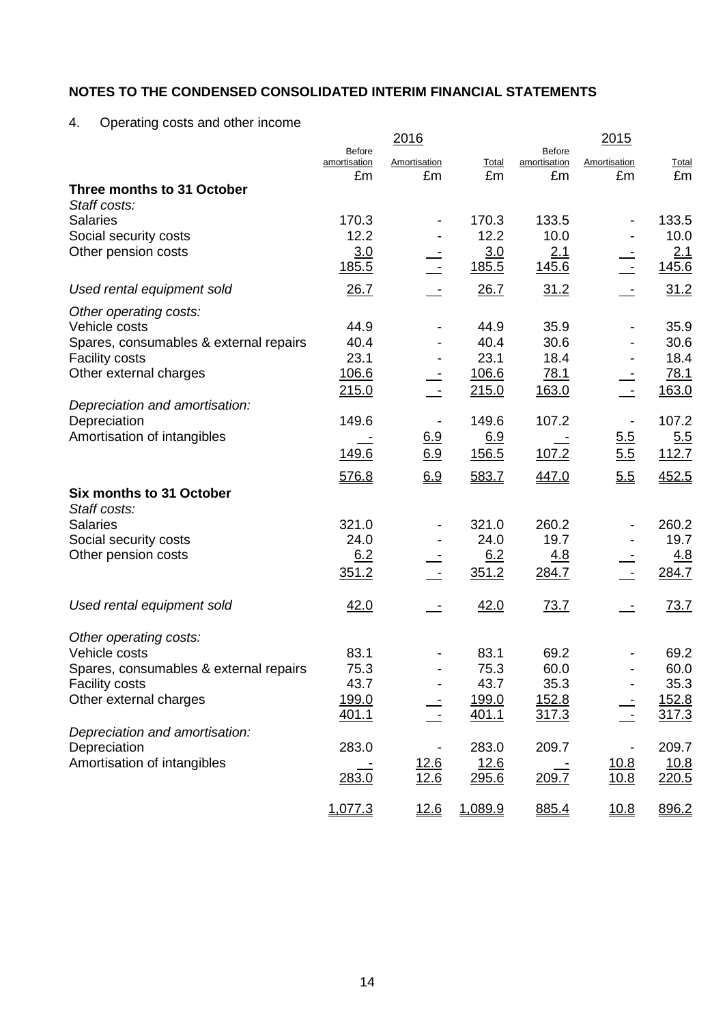4. Operating costs and other income

|                                                 |                                     | <u> 2016</u>              |                |                                     | 2015               |                     |
|-------------------------------------------------|-------------------------------------|---------------------------|----------------|-------------------------------------|--------------------|---------------------|
|                                                 | <b>Before</b><br>amortisation<br>£m | <b>Amortisation</b><br>£m | Total<br>£m    | <b>Before</b><br>amortisation<br>£m | Amortisation<br>£m | <b>Total</b><br>£m  |
| Three months to 31 October<br>Staff costs:      |                                     |                           |                |                                     |                    |                     |
| <b>Salaries</b>                                 | 170.3                               |                           | 170.3          | 133.5                               |                    | 133.5               |
| Social security costs                           | 12.2                                |                           | 12.2           | 10.0                                |                    | 10.0                |
| Other pension costs                             | 3.0<br><u>185.5</u>                 |                           | 3.0<br>185.5   | 2.1<br>145.6                        |                    | <u>2.1</u><br>145.6 |
| Used rental equipment sold                      | 26.7                                |                           | 26.7           | 31.2                                | $\sim$             | 31.2                |
| Other operating costs:                          |                                     |                           |                |                                     |                    |                     |
| Vehicle costs                                   | 44.9                                |                           | 44.9           | 35.9                                |                    | 35.9                |
| Spares, consumables & external repairs          | 40.4                                |                           | 40.4           | 30.6                                |                    | 30.6                |
| <b>Facility costs</b><br>Other external charges | 23.1                                |                           | 23.1<br>106.6  | 18.4                                |                    | 18.4                |
|                                                 | 106.6<br>215.0                      | $\overline{\phantom{a}}$  | 215.0          | 78.1<br>163.0                       |                    | 78.1<br>163.0       |
| Depreciation and amortisation:                  |                                     |                           |                |                                     |                    |                     |
| Depreciation                                    | 149.6                               | $\overline{\phantom{a}}$  | 149.6          | 107.2                               |                    | 107.2               |
| Amortisation of intangibles                     |                                     | 6.9                       | 6.9            |                                     | 5.5                | 5.5                 |
|                                                 | 149.6                               | 6.9                       | 156.5          | 107.2                               | 5.5                | 112.7               |
|                                                 | 576.8                               | 6.9                       | 583.7          | 447.0                               | 5.5                | 452.5               |
| Six months to 31 October                        |                                     |                           |                |                                     |                    |                     |
| Staff costs:                                    |                                     |                           |                |                                     |                    |                     |
| <b>Salaries</b>                                 | 321.0                               |                           | 321.0          | 260.2                               |                    | 260.2               |
| Social security costs<br>Other pension costs    | 24.0<br>6.2                         |                           | 24.0<br>6.2    | 19.7<br><u>4.8</u>                  |                    | 19.7<br>4.8         |
|                                                 | 351.2                               |                           | 351.2          | 284.7                               |                    | 284.7               |
|                                                 |                                     |                           |                |                                     |                    |                     |
| Used rental equipment sold                      | 42.0                                |                           | 42.0           | 73.7                                |                    | <u>73.7</u>         |
| Other operating costs:                          |                                     |                           |                |                                     |                    |                     |
| Vehicle costs                                   | 83.1                                |                           | 83.1           | 69.2                                |                    | 69.2                |
| Spares, consumables & external repairs          | 75.3                                |                           | 75.3           | 60.0                                |                    | 60.0                |
| <b>Facility costs</b>                           | 43.7                                | $\overline{\phantom{a}}$  | 43.7           | 35.3                                |                    | 35.3                |
| Other external charges                          | 199.0<br>401.1                      |                           | 199.0<br>401.1 | <u>152.8</u><br>317.3               |                    | 152.8<br>317.3      |
| Depreciation and amortisation:                  |                                     |                           |                |                                     |                    |                     |
| Depreciation                                    | 283.0                               |                           | 283.0          | 209.7                               |                    | 209.7               |
| Amortisation of intangibles                     |                                     | 12.6                      | 12.6           |                                     | 10.8               | <u>10.8</u>         |
|                                                 | 283.0                               | 12.6                      | 295.6          | 209.7                               | 10.8               | 220.5               |
|                                                 | 1,077.3                             | 12.6                      | 1,089.9        | 885.4                               | 10.8               | 896.2               |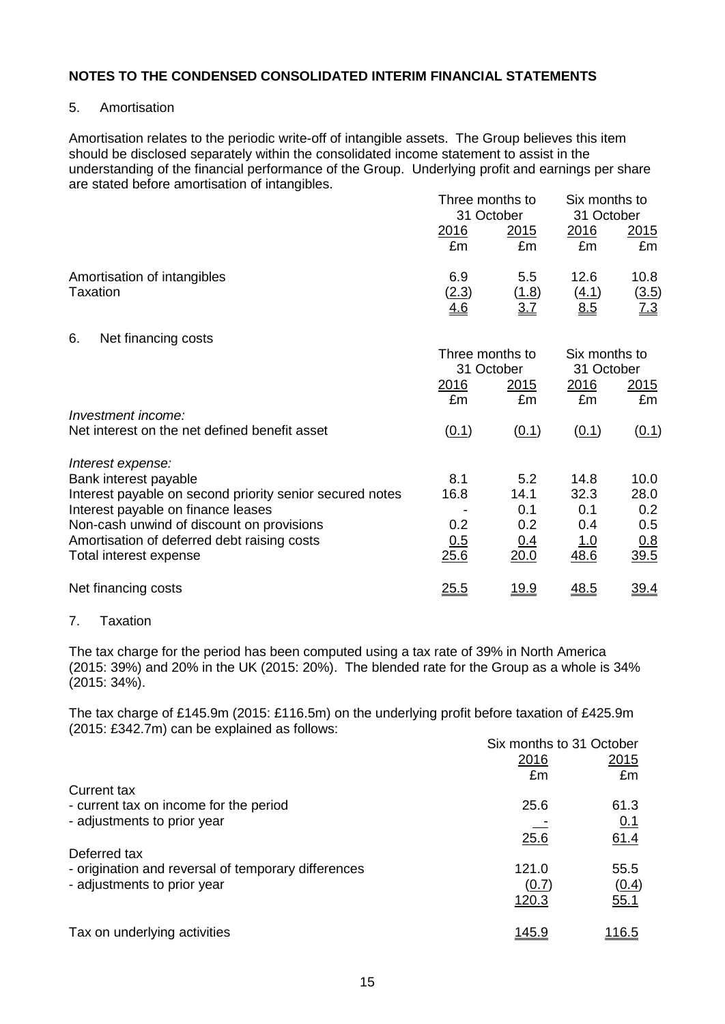#### 5. Amortisation

Amortisation relates to the periodic write-off of intangible assets. The Group believes this item should be disclosed separately within the consolidated income statement to assist in the understanding of the financial performance of the Group. Underlying profit and earnings per share are stated before amortisation of intangibles.

|                                                                       | Three months to<br>31 October |                            | Six months to<br>31 October |                             |
|-----------------------------------------------------------------------|-------------------------------|----------------------------|-----------------------------|-----------------------------|
|                                                                       | <u>2016</u><br>£m             | <u>2015</u><br>£m          | <u>2016</u><br>£m           | <u>2015</u><br>£m           |
| Amortisation of intangibles<br>Taxation                               | 6.9<br>(2.3)<br>4.6           | 5.5<br><u>(1.8)</u><br>3.7 | 12.6<br>(4.1)<br>8.5        | 10.8<br>$\frac{(3.5)}{7.3}$ |
| Net financing costs<br>6.                                             |                               |                            |                             |                             |
|                                                                       | Three months to               | 31 October                 | Six months to<br>31 October |                             |
|                                                                       | <u>2016</u><br>£m             | <u> 2015</u><br>£m         | 2016<br>£m                  | 2015<br>£m                  |
| Investment income:                                                    |                               |                            |                             |                             |
| Net interest on the net defined benefit asset                         | (0.1)                         | (0.1)                      | (0.1)                       | (0.1)                       |
| Interest expense:                                                     |                               |                            |                             |                             |
| Bank interest payable                                                 | 8.1                           | 5.2                        | 14.8                        | 10.0                        |
| Interest payable on second priority senior secured notes              | 16.8                          | 14.1                       | 32.3                        | 28.0                        |
| Interest payable on finance leases                                    |                               | 0.1                        | 0.1                         | 0.2                         |
| Non-cash unwind of discount on provisions                             | 0.2                           | 0.2                        | 0.4                         | 0.5                         |
| Amortisation of deferred debt raising costs<br>Total interest expense | 0.5<br>25.6                   | <u>0.4</u><br>20.0         | <u>1.0</u><br>48.6          | 0.8<br>39.5                 |
| Net financing costs                                                   | <u>25.5</u>                   | <u> 19.9</u>               | 48.5                        | <u>39.4</u>                 |

## 7. Taxation

The tax charge for the period has been computed using a tax rate of 39% in North America (2015: 39%) and 20% in the UK (2015: 20%). The blended rate for the Group as a whole is 34% (2015: 34%).

The tax charge of £145.9m (2015: £116.5m) on the underlying profit before taxation of £425.9m (2015: £342.7m) can be explained as follows:

|                                                     | Six months to 31 October |               |
|-----------------------------------------------------|--------------------------|---------------|
|                                                     | 2016                     | 2015          |
|                                                     | £m                       | £m            |
| Current tax                                         |                          |               |
| - current tax on income for the period              | 25.6                     | 61.3          |
| - adjustments to prior year                         |                          | 0.1           |
|                                                     | 25.6                     | 61.4          |
| Deferred tax                                        |                          |               |
| - origination and reversal of temporary differences | 121.0                    | 55.5          |
| - adjustments to prior year                         | (0.7)                    | (0.4)         |
|                                                     | 120.3                    | 55.1          |
| Tax on underlying activities                        | <u> 145.9</u>            | <u> 116.5</u> |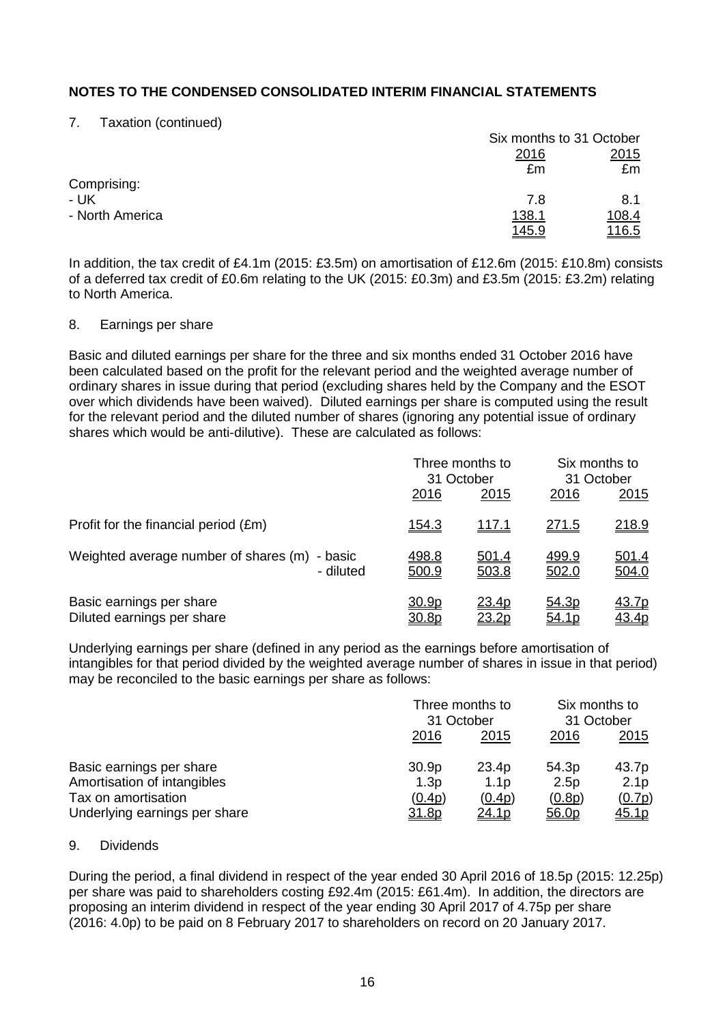7. Taxation (continued)

|                 |               | Six months to 31 October |  |
|-----------------|---------------|--------------------------|--|
|                 | <u>2016</u>   | 2015                     |  |
|                 | £m            | £m                       |  |
| Comprising:     |               |                          |  |
| - UK            | 7.8           | 8.1                      |  |
| - North America | <u>138.1</u>  | <u>108.4</u>             |  |
|                 | <u> 145.9</u> | <u> 116.5</u>            |  |

In addition, the tax credit of £4.1m (2015: £3.5m) on amortisation of £12.6m (2015: £10.8m) consists of a deferred tax credit of £0.6m relating to the UK (2015: £0.3m) and £3.5m (2015: £3.2m) relating to North America.

#### 8. Earnings per share

Basic and diluted earnings per share for the three and six months ended 31 October 2016 have been calculated based on the profit for the relevant period and the weighted average number of ordinary shares in issue during that period (excluding shares held by the Company and the ESOT over which dividends have been waived). Diluted earnings per share is computed using the result for the relevant period and the diluted number of shares (ignoring any potential issue of ordinary shares which would be anti-dilutive). These are calculated as follows:

|                                                               |                       | Three months to<br>31 October |                       | Six months to<br>31 October  |  |
|---------------------------------------------------------------|-----------------------|-------------------------------|-----------------------|------------------------------|--|
|                                                               | 2016                  | 2015                          | 2016                  | 2015                         |  |
| Profit for the financial period (£m)                          | <u>154.3</u>          | <u>117.1</u>                  | <u>271.5</u>          | <u>218.9</u>                 |  |
| Weighted average number of shares (m)<br>- basic<br>- diluted | 498.8<br>500.9        | 501.4<br>503.8                | 499.9<br>502.0        | <u>501.4</u><br>504.0        |  |
| Basic earnings per share<br>Diluted earnings per share        | <u>30.9p</u><br>30.8p | 23.4p<br>23.2p                | <u>54.3p</u><br>54.1p | <u>43.7p</u><br><u>43.4p</u> |  |

Underlying earnings per share (defined in any period as the earnings before amortisation of intangibles for that period divided by the weighted average number of shares in issue in that period) may be reconciled to the basic earnings per share as follows:

|                               |                   | Three months to<br>31 October |             | Six months to<br>31 October |  |
|-------------------------------|-------------------|-------------------------------|-------------|-----------------------------|--|
|                               | 2016              | 2015                          | <u>2016</u> | <u>2015</u>                 |  |
| Basic earnings per share      | 30.9 <sub>p</sub> | 23.4p                         | 54.3p       | 43.7p                       |  |
| Amortisation of intangibles   | 1.3p              | 1.1 <sub>D</sub>              | 2.5p        | 2.1 <sub>p</sub>            |  |
| Tax on amortisation           | (0.4p)            | (0.4p)                        | (0.8p)      | (0.7p)                      |  |
| Underlying earnings per share | 31.8p             | <u>24.1p</u>                  | 56.0p       | <u>45.1p</u>                |  |

#### 9. Dividends

During the period, a final dividend in respect of the year ended 30 April 2016 of 18.5p (2015: 12.25p) per share was paid to shareholders costing £92.4m (2015: £61.4m). In addition, the directors are proposing an interim dividend in respect of the year ending 30 April 2017 of 4.75p per share (2016: 4.0p) to be paid on 8 February 2017 to shareholders on record on 20 January 2017.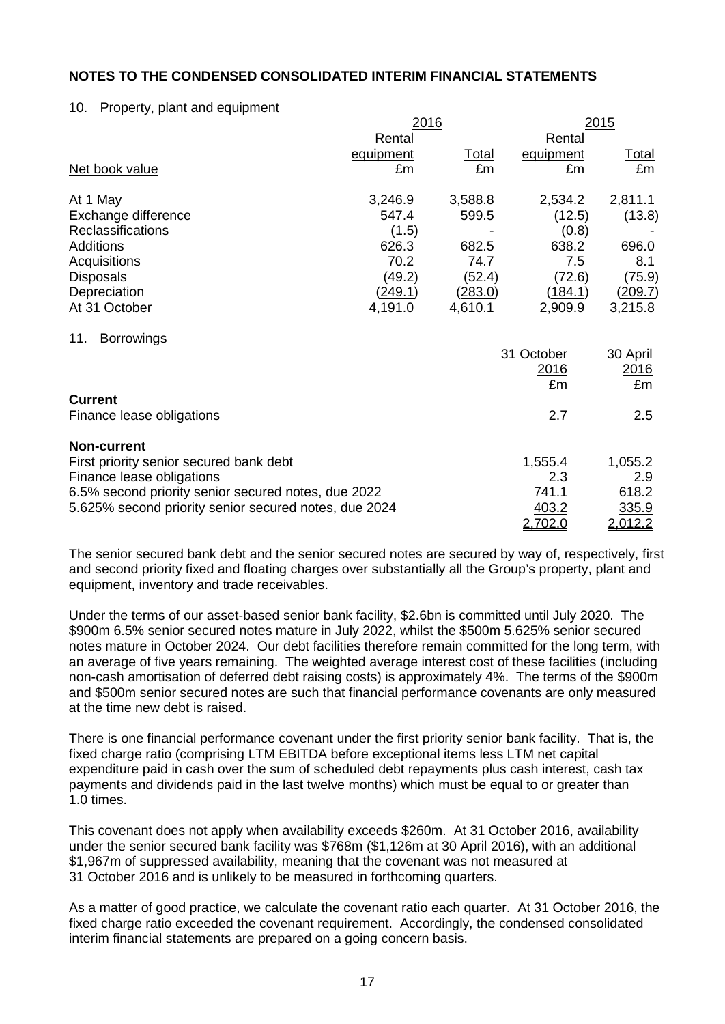#### 10. Property, plant and equipment

|                                                       | 2016           |              |            | 2015          |
|-------------------------------------------------------|----------------|--------------|------------|---------------|
|                                                       | Rental         |              | Rental     |               |
|                                                       | equipment      | <u>Total</u> | equipment  | <u>Total</u>  |
| Net book value                                        | £m             | £m           | £m         | £m            |
| At 1 May                                              | 3,246.9        | 3,588.8      | 2,534.2    | 2,811.1       |
| Exchange difference                                   | 547.4          | 599.5        | (12.5)     | (13.8)        |
| <b>Reclassifications</b>                              | (1.5)          |              | (0.8)      |               |
| <b>Additions</b>                                      | 626.3          | 682.5        | 638.2      | 696.0         |
| Acquisitions                                          | 70.2           | 74.7         | 7.5        | 8.1           |
| <b>Disposals</b>                                      | (49.2)         | (52.4)       | (72.6)     | (75.9)        |
| Depreciation                                          | <u>(249.1)</u> | (283.0)      | (184.1)    | (209.7)       |
| At 31 October                                         | 4,191.0        | 4,610.1      | 2,909.9    | 3,215.8       |
| <b>Borrowings</b><br>11.                              |                |              |            |               |
|                                                       |                |              | 31 October | 30 April      |
|                                                       |                |              | 2016       | <u> 2016 </u> |
|                                                       |                |              | £m         | £m            |
| <b>Current</b>                                        |                |              |            |               |
| Finance lease obligations                             |                |              | 2.7        | <u>2.5</u>    |
| <b>Non-current</b>                                    |                |              |            |               |
| First priority senior secured bank debt               |                |              | 1,555.4    | 1,055.2       |
| Finance lease obligations                             |                |              | 2.3        | 2.9           |
| 6.5% second priority senior secured notes, due 2022   |                |              | 741.1      | 618.2         |
| 5.625% second priority senior secured notes, due 2024 |                |              | 403.2      | 335.9         |
|                                                       |                |              | 2,702.0    | 2,012.2       |

The senior secured bank debt and the senior secured notes are secured by way of, respectively, first and second priority fixed and floating charges over substantially all the Group's property, plant and equipment, inventory and trade receivables.

Under the terms of our asset-based senior bank facility, \$2.6bn is committed until July 2020. The \$900m 6.5% senior secured notes mature in July 2022, whilst the \$500m 5.625% senior secured notes mature in October 2024. Our debt facilities therefore remain committed for the long term, with an average of five years remaining. The weighted average interest cost of these facilities (including non-cash amortisation of deferred debt raising costs) is approximately 4%. The terms of the \$900m and \$500m senior secured notes are such that financial performance covenants are only measured at the time new debt is raised.

There is one financial performance covenant under the first priority senior bank facility. That is, the fixed charge ratio (comprising LTM EBITDA before exceptional items less LTM net capital expenditure paid in cash over the sum of scheduled debt repayments plus cash interest, cash tax payments and dividends paid in the last twelve months) which must be equal to or greater than 1.0 times.

This covenant does not apply when availability exceeds \$260m. At 31 October 2016, availability under the senior secured bank facility was \$768m (\$1,126m at 30 April 2016), with an additional \$1,967m of suppressed availability, meaning that the covenant was not measured at 31 October 2016 and is unlikely to be measured in forthcoming quarters.

As a matter of good practice, we calculate the covenant ratio each quarter. At 31 October 2016, the fixed charge ratio exceeded the covenant requirement. Accordingly, the condensed consolidated interim financial statements are prepared on a going concern basis.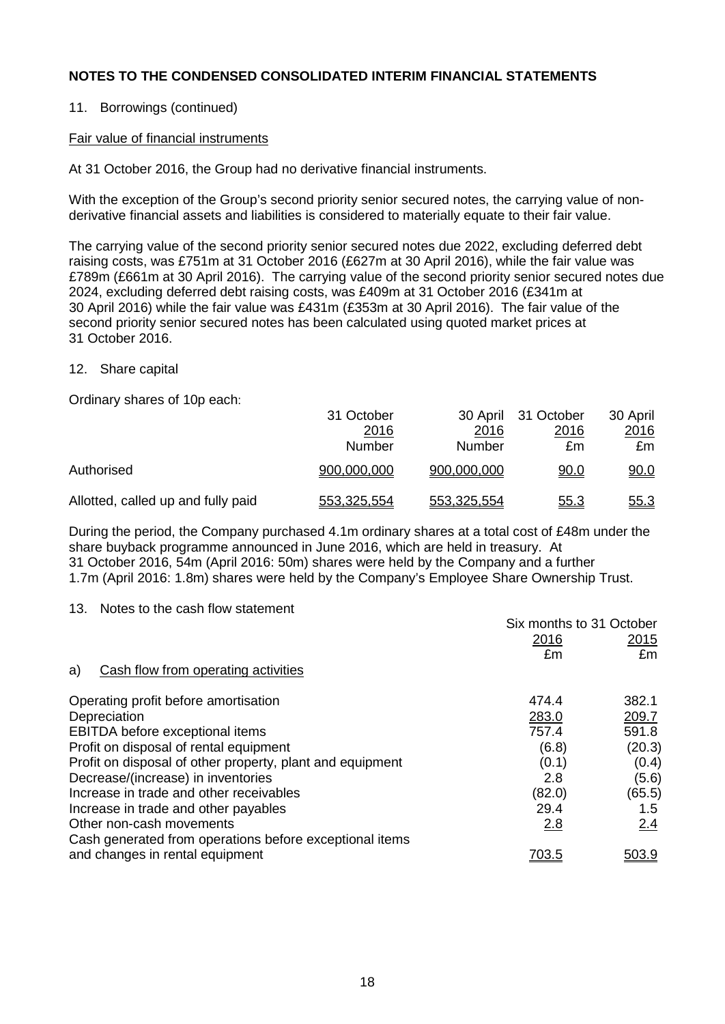## 11. Borrowings (continued)

#### Fair value of financial instruments

At 31 October 2016, the Group had no derivative financial instruments.

With the exception of the Group's second priority senior secured notes, the carrying value of nonderivative financial assets and liabilities is considered to materially equate to their fair value.

The carrying value of the second priority senior secured notes due 2022, excluding deferred debt raising costs, was £751m at 31 October 2016 (£627m at 30 April 2016), while the fair value was £789m (£661m at 30 April 2016). The carrying value of the second priority senior secured notes due 2024, excluding deferred debt raising costs, was £409m at 31 October 2016 (£341m at 30 April 2016) while the fair value was £431m (£353m at 30 April 2016). The fair value of the second priority senior secured notes has been calculated using quoted market prices at 31 October 2016.

#### 12. Share capital

Ordinary shares of 10p each:

|                                    | 31 October    |             | 30 April 31 October | 30 April    |
|------------------------------------|---------------|-------------|---------------------|-------------|
|                                    | 2016          | 2016        | 2016                | 2016        |
|                                    | <b>Number</b> | Number      | £m                  | £m          |
| Authorised                         | 900,000,000   | 900,000,000 | <u>90.0</u>         | 90.0        |
| Allotted, called up and fully paid | 553,325,554   | 553,325,554 | <u>55.3</u>         | <u>55.3</u> |

During the period, the Company purchased 4.1m ordinary shares at a total cost of £48m under the share buyback programme announced in June 2016, which are held in treasury. At 31 October 2016, 54m (April 2016: 50m) shares were held by the Company and a further 1.7m (April 2016: 1.8m) shares were held by the Company's Employee Share Ownership Trust.

13. Notes to the cash flow statement

| Six months to 31 October |        |
|--------------------------|--------|
| 2016                     | 2015   |
| £m                       | £m     |
|                          |        |
| 474.4                    | 382.1  |
| 283.0                    | 209.7  |
| 757.4                    | 591.8  |
| (6.8)                    | (20.3) |
| (0.1)                    | (0.4)  |
| 2.8                      | (5.6)  |
| (82.0)                   | (65.5) |
| 29.4                     | 1.5    |
|                          | 2.4    |
|                          |        |
| <u>703.5</u>             | 503.9  |
|                          | 2.8    |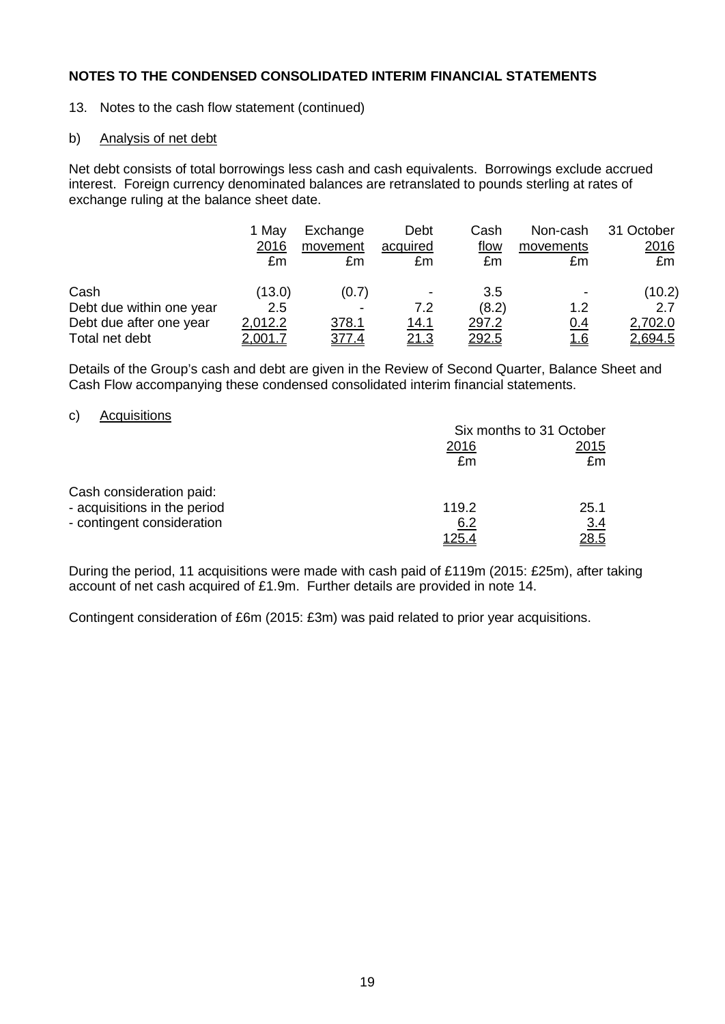13. Notes to the cash flow statement (continued)

#### b) Analysis of net debt

Net debt consists of total borrowings less cash and cash equivalents. Borrowings exclude accrued interest. Foreign currency denominated balances are retranslated to pounds sterling at rates of exchange ruling at the balance sheet date.

|                          | 1 May<br>2016<br>£m | Exchange<br>movement<br>£m | Debt<br>acquired<br>£m | Cash<br><u>flow</u><br>£m | Non-cash<br>movements<br>£m | 31 October<br>2016<br>£m |
|--------------------------|---------------------|----------------------------|------------------------|---------------------------|-----------------------------|--------------------------|
| Cash                     | (13.0)              | (0.7)                      | ۰                      | 3.5                       | $\overline{\phantom{0}}$    | (10.2)                   |
| Debt due within one year | 2.5                 |                            | 7.2                    | (8.2)                     | 1.2                         | 2.7                      |
| Debt due after one year  | 2,012.2             | 378.1                      | 14.1                   | 297.2                     | 0.4                         | 2,702.0                  |
| Total net debt           | <u>2,001.7</u>      | <u>377.4</u>               | <u> 21.3</u>           | <u> 292.5</u>             | <u> 1.6</u>                 | <u>2,694.5</u>           |

Details of the Group's cash and debt are given in the Review of Second Quarter, Balance Sheet and Cash Flow accompanying these condensed consolidated interim financial statements.

#### c) Acquisitions

|                                                                                        | Six months to 31 October |                    |  |
|----------------------------------------------------------------------------------------|--------------------------|--------------------|--|
|                                                                                        | 2016<br>£m               | 2015<br>£m         |  |
| Cash consideration paid:<br>- acquisitions in the period<br>- contingent consideration | 119.2<br>6.2             | 25.1<br><u>3.4</u> |  |
|                                                                                        | 125.4                    | 28.5               |  |

During the period, 11 acquisitions were made with cash paid of £119m (2015: £25m), after taking account of net cash acquired of £1.9m. Further details are provided in note 14.

Contingent consideration of £6m (2015: £3m) was paid related to prior year acquisitions.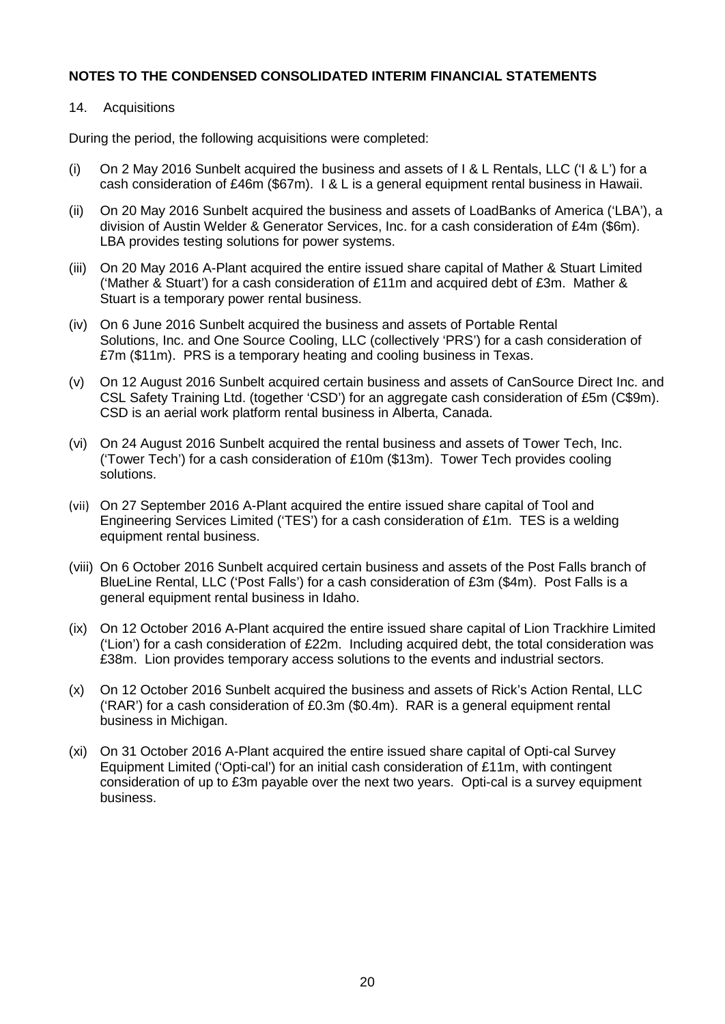#### 14. Acquisitions

During the period, the following acquisitions were completed:

- (i) On 2 May 2016 Sunbelt acquired the business and assets of I & L Rentals, LLC ('I & L') for a cash consideration of £46m (\$67m). I & L is a general equipment rental business in Hawaii.
- (ii) On 20 May 2016 Sunbelt acquired the business and assets of LoadBanks of America ('LBA'), a division of Austin Welder & Generator Services, Inc. for a cash consideration of £4m (\$6m). LBA provides testing solutions for power systems.
- (iii) On 20 May 2016 A-Plant acquired the entire issued share capital of Mather & Stuart Limited ('Mather & Stuart') for a cash consideration of £11m and acquired debt of £3m. Mather & Stuart is a temporary power rental business.
- (iv) On 6 June 2016 Sunbelt acquired the business and assets of Portable Rental Solutions, Inc. and One Source Cooling, LLC (collectively 'PRS') for a cash consideration of £7m (\$11m). PRS is a temporary heating and cooling business in Texas.
- (v) On 12 August 2016 Sunbelt acquired certain business and assets of CanSource Direct Inc. and CSL Safety Training Ltd. (together 'CSD') for an aggregate cash consideration of £5m (C\$9m). CSD is an aerial work platform rental business in Alberta, Canada.
- (vi) On 24 August 2016 Sunbelt acquired the rental business and assets of Tower Tech, Inc. ('Tower Tech') for a cash consideration of £10m (\$13m). Tower Tech provides cooling solutions.
- (vii) On 27 September 2016 A-Plant acquired the entire issued share capital of Tool and Engineering Services Limited ('TES') for a cash consideration of £1m. TES is a welding equipment rental business.
- (viii) On 6 October 2016 Sunbelt acquired certain business and assets of the Post Falls branch of BlueLine Rental, LLC ('Post Falls') for a cash consideration of £3m (\$4m). Post Falls is a general equipment rental business in Idaho.
- (ix) On 12 October 2016 A-Plant acquired the entire issued share capital of Lion Trackhire Limited ('Lion') for a cash consideration of £22m. Including acquired debt, the total consideration was £38m. Lion provides temporary access solutions to the events and industrial sectors.
- (x) On 12 October 2016 Sunbelt acquired the business and assets of Rick's Action Rental, LLC ('RAR') for a cash consideration of £0.3m (\$0.4m). RAR is a general equipment rental business in Michigan.
- (xi) On 31 October 2016 A-Plant acquired the entire issued share capital of Opti-cal Survey Equipment Limited ('Opti-cal') for an initial cash consideration of £11m, with contingent consideration of up to £3m payable over the next two years. Opti-cal is a survey equipment business.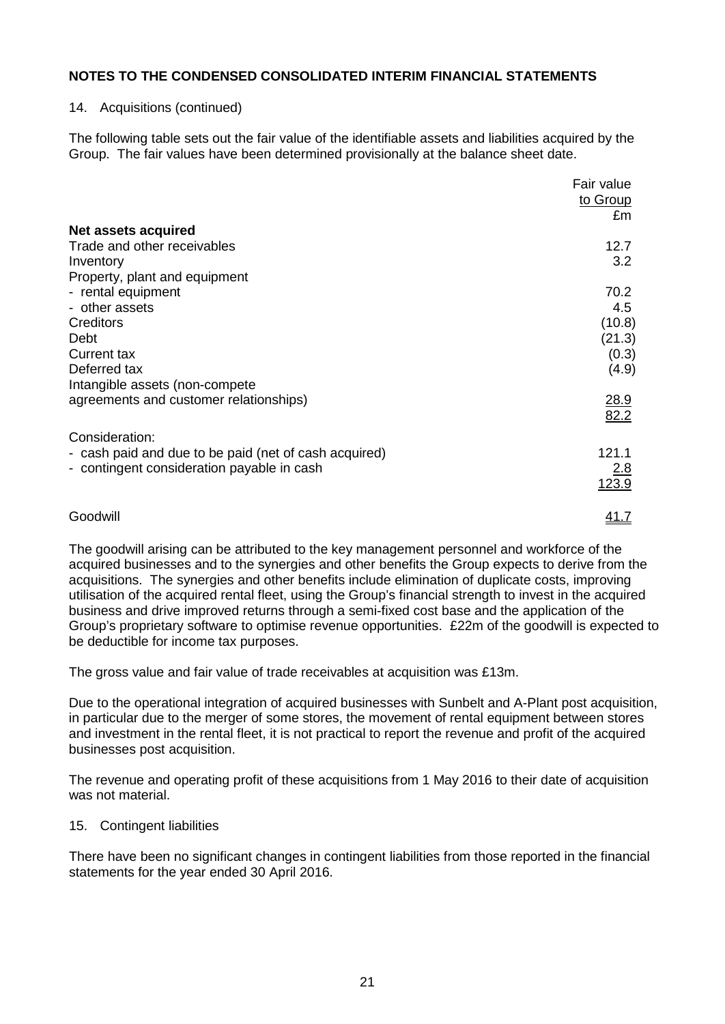#### 14. Acquisitions (continued)

The following table sets out the fair value of the identifiable assets and liabilities acquired by the Group. The fair values have been determined provisionally at the balance sheet date.

|                                                       | Fair value<br>to Group<br>£m |
|-------------------------------------------------------|------------------------------|
| Net assets acquired                                   |                              |
| Trade and other receivables                           | 12.7                         |
| Inventory                                             | 3.2                          |
| Property, plant and equipment                         | 70.2                         |
| - rental equipment<br>- other assets                  | 4.5                          |
| Creditors                                             | (10.8)                       |
| Debt                                                  | (21.3)                       |
| <b>Current tax</b>                                    | (0.3)                        |
| Deferred tax                                          | (4.9)                        |
| Intangible assets (non-compete                        |                              |
| agreements and customer relationships)                | 28.9<br>82.2                 |
| Consideration:                                        |                              |
| - cash paid and due to be paid (net of cash acquired) | 121.1                        |
| - contingent consideration payable in cash            | 2.8<br>123.9                 |
| Goodwill                                              | <u>41.7</u>                  |

The goodwill arising can be attributed to the key management personnel and workforce of the acquired businesses and to the synergies and other benefits the Group expects to derive from the acquisitions. The synergies and other benefits include elimination of duplicate costs, improving utilisation of the acquired rental fleet, using the Group's financial strength to invest in the acquired business and drive improved returns through a semi-fixed cost base and the application of the Group's proprietary software to optimise revenue opportunities. £22m of the goodwill is expected to be deductible for income tax purposes.

The gross value and fair value of trade receivables at acquisition was £13m.

Due to the operational integration of acquired businesses with Sunbelt and A-Plant post acquisition, in particular due to the merger of some stores, the movement of rental equipment between stores and investment in the rental fleet, it is not practical to report the revenue and profit of the acquired businesses post acquisition.

The revenue and operating profit of these acquisitions from 1 May 2016 to their date of acquisition was not material.

#### 15. Contingent liabilities

There have been no significant changes in contingent liabilities from those reported in the financial statements for the year ended 30 April 2016.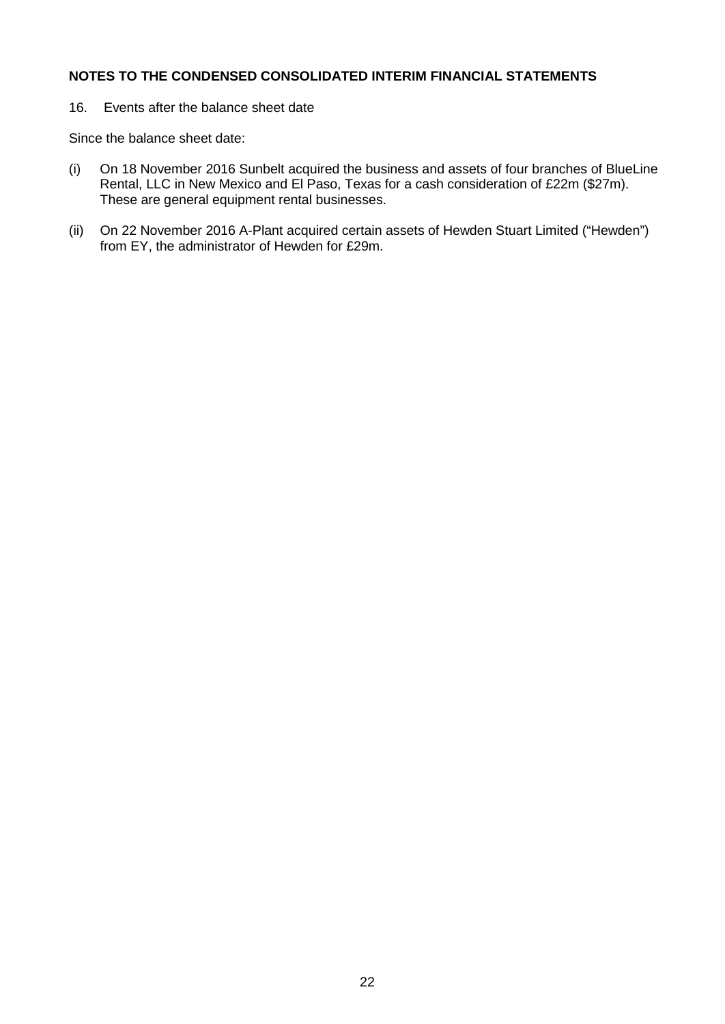16. Events after the balance sheet date

Since the balance sheet date:

- (i) On 18 November 2016 Sunbelt acquired the business and assets of four branches of BlueLine Rental, LLC in New Mexico and El Paso, Texas for a cash consideration of £22m (\$27m). These are general equipment rental businesses.
- (ii) On 22 November 2016 A-Plant acquired certain assets of Hewden Stuart Limited ("Hewden") from EY, the administrator of Hewden for £29m.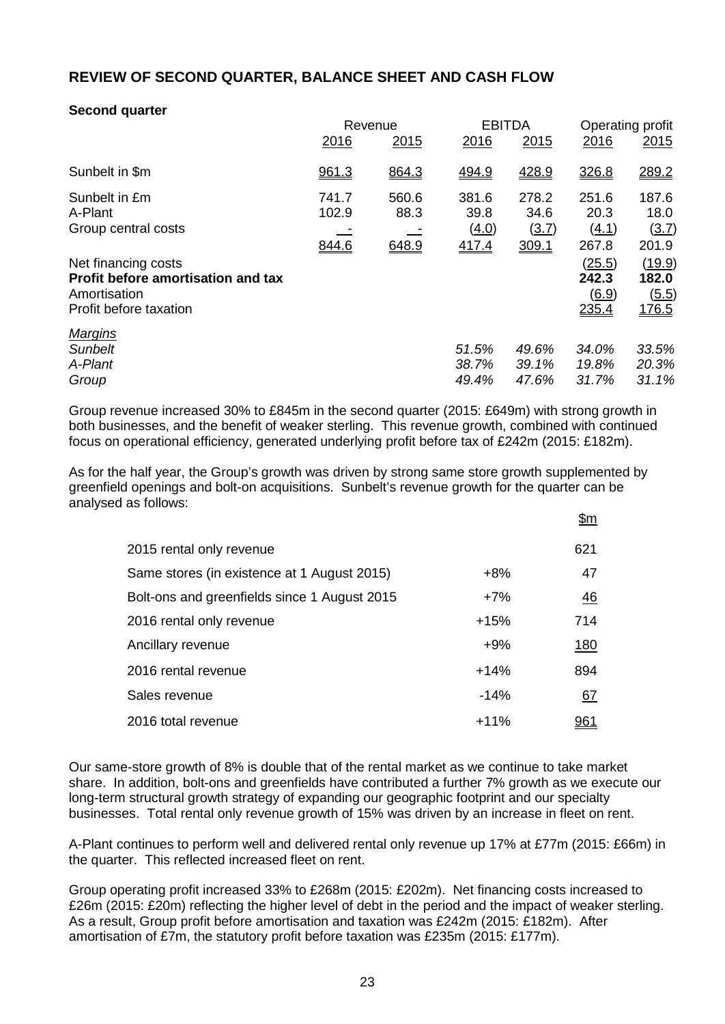# **REVIEW OF SECOND QUARTER, BALANCE SHEET AND CASH FLOW**

# **Second quarter**

|                                                                                                     | Revenue                 |                        | <b>EBITDA</b>                   |                                        | Operating profit                                |                                          |
|-----------------------------------------------------------------------------------------------------|-------------------------|------------------------|---------------------------------|----------------------------------------|-------------------------------------------------|------------------------------------------|
|                                                                                                     | 2016                    | 2015                   | 2016                            | 2015                                   | 2016                                            | 2015                                     |
| Sunbelt in \$m                                                                                      | 961.3                   | 864.3                  | 494.9                           | 428.9                                  | 326.8                                           | 289.2                                    |
| Sunbelt in £m<br>A-Plant<br>Group central costs                                                     | 741.7<br>102.9<br>844.6 | 560.6<br>88.3<br>648.9 | 381.6<br>39.8<br>(4.0)<br>417.4 | 278.2<br>34.6<br><u>(3.7)</u><br>309.1 | 251.6<br>20.3<br><u>(4.1)</u><br>267.8          | 187.6<br>18.0<br>(3.7)<br>201.9          |
| Net financing costs<br>Profit before amortisation and tax<br>Amortisation<br>Profit before taxation |                         |                        |                                 |                                        | (25.5)<br>242.3<br>$\underline{(6.9)}$<br>235.4 | (19.9)<br>182.0<br>(5.5)<br><u>176.5</u> |
| <b>Margins</b><br><b>Sunbelt</b><br>A-Plant<br>Group                                                |                         |                        | 51.5%<br>38.7%<br>49.4%         | 49.6%<br>39.1%<br>47.6%                | 34.0%<br>19.8%<br>31.7%                         | 33.5%<br>20.3%<br>31.1%                  |

Group revenue increased 30% to £845m in the second quarter (2015: £649m) with strong growth in both businesses, and the benefit of weaker sterling. This revenue growth, combined with continued focus on operational efficiency, generated underlying profit before tax of £242m (2015: £182m).

As for the half year, the Group's growth was driven by strong same store growth supplemented by greenfield openings and bolt-on acquisitions. Sunbelt's revenue growth for the quarter can be analysed as follows:  $\theta_{\rm{max}}$ 

|                                              |        | <u> سر</u> |
|----------------------------------------------|--------|------------|
| 2015 rental only revenue                     |        | 621        |
| Same stores (in existence at 1 August 2015)  | $+8%$  | 47         |
| Bolt-ons and greenfields since 1 August 2015 | $+7%$  | 46         |
| 2016 rental only revenue                     | $+15%$ | 714        |
| Ancillary revenue                            | $+9%$  | <u>180</u> |
| 2016 rental revenue                          | $+14%$ | 894        |
| Sales revenue                                | $-14%$ | 67         |
| 2016 total revenue                           | $+11%$ |            |

Our same-store growth of 8% is double that of the rental market as we continue to take market share. In addition, bolt-ons and greenfields have contributed a further 7% growth as we execute our long-term structural growth strategy of expanding our geographic footprint and our specialty businesses. Total rental only revenue growth of 15% was driven by an increase in fleet on rent.

A-Plant continues to perform well and delivered rental only revenue up 17% at £77m (2015: £66m) in the quarter. This reflected increased fleet on rent.

Group operating profit increased 33% to £268m (2015: £202m). Net financing costs increased to £26m (2015: £20m) reflecting the higher level of debt in the period and the impact of weaker sterling. As a result, Group profit before amortisation and taxation was £242m (2015: £182m). After amortisation of £7m, the statutory profit before taxation was £235m (2015: £177m).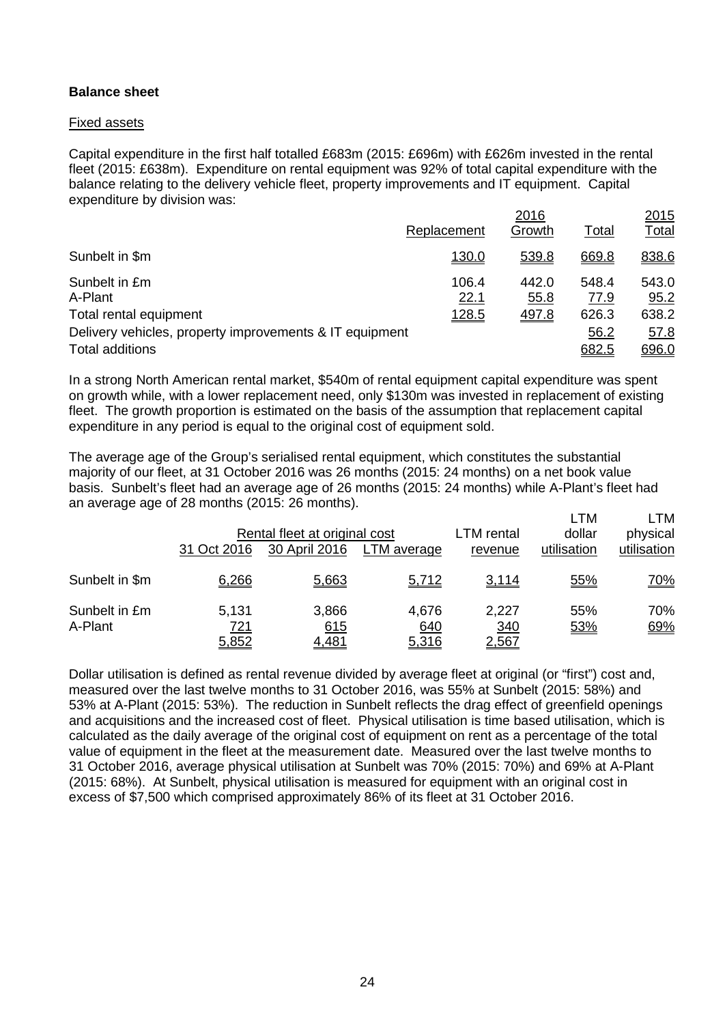## **Balance sheet**

#### Fixed assets

Capital expenditure in the first half totalled £683m (2015: £696m) with £626m invested in the rental fleet (2015: £638m). Expenditure on rental equipment was 92% of total capital expenditure with the balance relating to the delivery vehicle fleet, property improvements and IT equipment. Capital expenditure by division was:

|                                                         |               | 2016          |               | 2015          |
|---------------------------------------------------------|---------------|---------------|---------------|---------------|
|                                                         | Replacement   | Growth        | Total         | <u>Total</u>  |
| Sunbelt in \$m                                          | <u>130.0</u>  | 539.8         | 669.8         | 838.6         |
| Sunbelt in £m<br>A-Plant                                | 106.4<br>22.1 | 442.0<br>55.8 | 548.4<br>77.9 | 543.0<br>95.2 |
| Total rental equipment                                  | <u>128.5</u>  | 497.8         | 626.3         | 638.2         |
| Delivery vehicles, property improvements & IT equipment |               |               | 56.2          | 57.8          |
| Total additions                                         |               |               | 682.5         | 696.0         |

In a strong North American rental market, \$540m of rental equipment capital expenditure was spent on growth while, with a lower replacement need, only \$130m was invested in replacement of existing fleet. The growth proportion is estimated on the basis of the assumption that replacement capital expenditure in any period is equal to the original cost of equipment sold.

The average age of the Group's serialised rental equipment, which constitutes the substantial majority of our fleet, at 31 October 2016 was 26 months (2015: 24 months) on a net book value basis. Sunbelt's fleet had an average age of 26 months (2015: 24 months) while A-Plant's fleet had an average age of 28 months (2015: 26 months).

|                          | 31 Oct 2016           | Rental fleet at original cost<br>30 April 2016 | LTM average           | LTM rental<br>revenue | LTM<br>dollar<br>utilisation | ∟TM<br>physical<br>utilisation |
|--------------------------|-----------------------|------------------------------------------------|-----------------------|-----------------------|------------------------------|--------------------------------|
| Sunbelt in \$m           | 6,266                 | 5,663                                          | 5,712                 | 3,114                 | 55%                          | <u>70%</u>                     |
| Sunbelt in £m<br>A-Plant | 5,131<br>721<br>5,852 | 3,866<br>615<br>4,481                          | 4,676<br>640<br>5,316 | 2,227<br>340<br>2,567 | 55%<br>53%                   | 70%<br>69%                     |

Dollar utilisation is defined as rental revenue divided by average fleet at original (or "first") cost and, measured over the last twelve months to 31 October 2016, was 55% at Sunbelt (2015: 58%) and 53% at A-Plant (2015: 53%). The reduction in Sunbelt reflects the drag effect of greenfield openings and acquisitions and the increased cost of fleet. Physical utilisation is time based utilisation, which is calculated as the daily average of the original cost of equipment on rent as a percentage of the total value of equipment in the fleet at the measurement date. Measured over the last twelve months to 31 October 2016, average physical utilisation at Sunbelt was 70% (2015: 70%) and 69% at A-Plant (2015: 68%). At Sunbelt, physical utilisation is measured for equipment with an original cost in excess of \$7,500 which comprised approximately 86% of its fleet at 31 October 2016.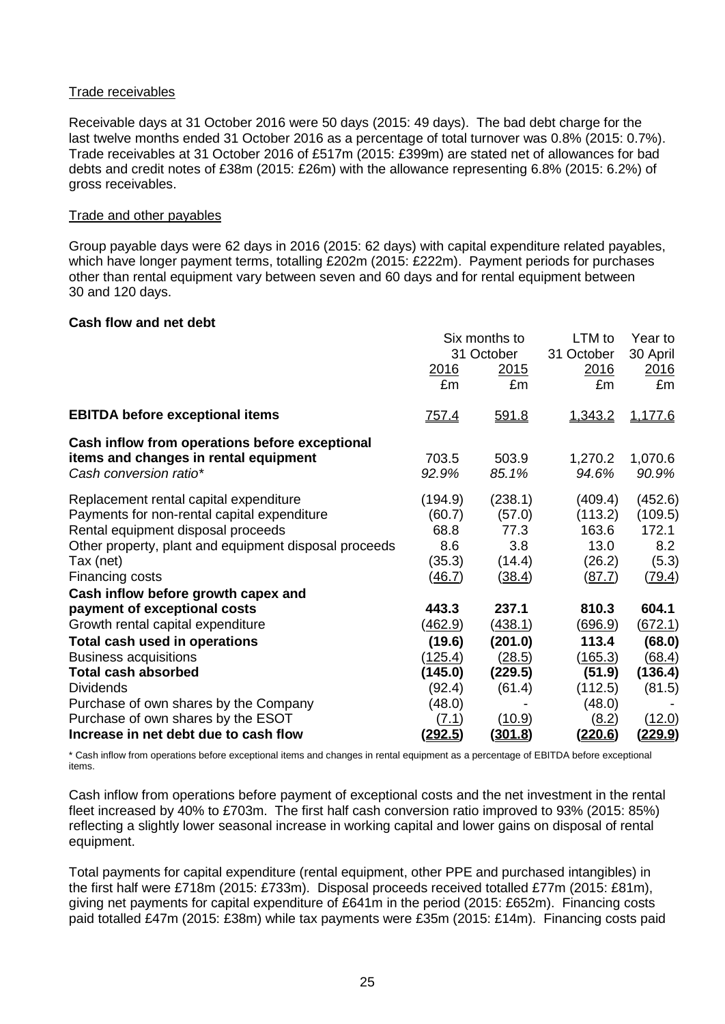#### Trade receivables

Receivable days at 31 October 2016 were 50 days (2015: 49 days). The bad debt charge for the last twelve months ended 31 October 2016 as a percentage of total turnover was 0.8% (2015: 0.7%). Trade receivables at 31 October 2016 of £517m (2015: £399m) are stated net of allowances for bad debts and credit notes of £38m (2015: £26m) with the allowance representing 6.8% (2015: 6.2%) of gross receivables.

#### Trade and other payables

Group payable days were 62 days in 2016 (2015: 62 days) with capital expenditure related payables, which have longer payment terms, totalling £202m (2015: £222m). Payment periods for purchases other than rental equipment vary between seven and 60 days and for rental equipment between 30 and 120 days.

#### **Cash flow and net debt**

|                                                                                                                   | Six months to          |                | LTM to           | Year to          |
|-------------------------------------------------------------------------------------------------------------------|------------------------|----------------|------------------|------------------|
|                                                                                                                   | 31 October             |                | 31 October       | 30 April         |
|                                                                                                                   | <u>2016</u>            | <u>2015</u>    | 2016             | 2016             |
|                                                                                                                   | £m                     | £m             | £m               | £m               |
| <b>EBITDA before exceptional items</b>                                                                            | <u>757.4</u>           | 591.8          | 1,343.2          | 1,177.6          |
| Cash inflow from operations before exceptional<br>items and changes in rental equipment<br>Cash conversion ratio* | 703.5<br>92.9%         | 503.9<br>85.1% | 1,270.2<br>94.6% | 1,070.6<br>90.9% |
| Replacement rental capital expenditure                                                                            | (194.9)                | (238.1)        | (409.4)          | (452.6)          |
| Payments for non-rental capital expenditure                                                                       | (60.7)                 | (57.0)         | (113.2)          | (109.5)          |
| Rental equipment disposal proceeds                                                                                | 68.8                   | 77.3           | 163.6            | 172.1            |
| Other property, plant and equipment disposal proceeds                                                             | 8.6                    | 3.8            | 13.0             | 8.2              |
| Tax (net)                                                                                                         | (35.3)                 | (14.4)         | (26.2)           | (5.3)            |
| Financing costs<br>Cash inflow before growth capex and                                                            | (46.7)                 | (38.4)         | (87.7)           | (79.4)           |
| payment of exceptional costs                                                                                      | 443.3                  | 237.1          | 810.3            | 604.1            |
| Growth rental capital expenditure                                                                                 | <u>(462.9)</u>         | (438.1)        | <u>(696.9)</u>   | (672.1)          |
| Total cash used in operations                                                                                     | (19.6)                 | (201.0)        | 113.4            | (68.0)           |
| <b>Business acquisitions</b>                                                                                      | (125.4)                | (28.5)         | (165.3)          | (68.4)           |
| <b>Total cash absorbed</b>                                                                                        | (145.0)                | (229.5)        | (51.9)           | (136.4)          |
| <b>Dividends</b>                                                                                                  | (92.4)                 | (61.4)         | (112.5)          | (81.5)           |
| Purchase of own shares by the Company<br>Purchase of own shares by the ESOT                                       | (48.0)<br><u>(7.1)</u> | (10.9)         | (48.0)<br>(8.2)  | (12.0)           |
| Increase in net debt due to cash flow                                                                             | (292.5)                | <u>(301.8)</u> | <u>(220.6)</u>   | <u>(229.9)</u>   |

\* Cash inflow from operations before exceptional items and changes in rental equipment as a percentage of EBITDA before exceptional items.

Cash inflow from operations before payment of exceptional costs and the net investment in the rental fleet increased by 40% to £703m. The first half cash conversion ratio improved to 93% (2015: 85%) reflecting a slightly lower seasonal increase in working capital and lower gains on disposal of rental equipment.

Total payments for capital expenditure (rental equipment, other PPE and purchased intangibles) in the first half were £718m (2015: £733m). Disposal proceeds received totalled £77m (2015: £81m), giving net payments for capital expenditure of £641m in the period (2015: £652m). Financing costs paid totalled £47m (2015: £38m) while tax payments were £35m (2015: £14m). Financing costs paid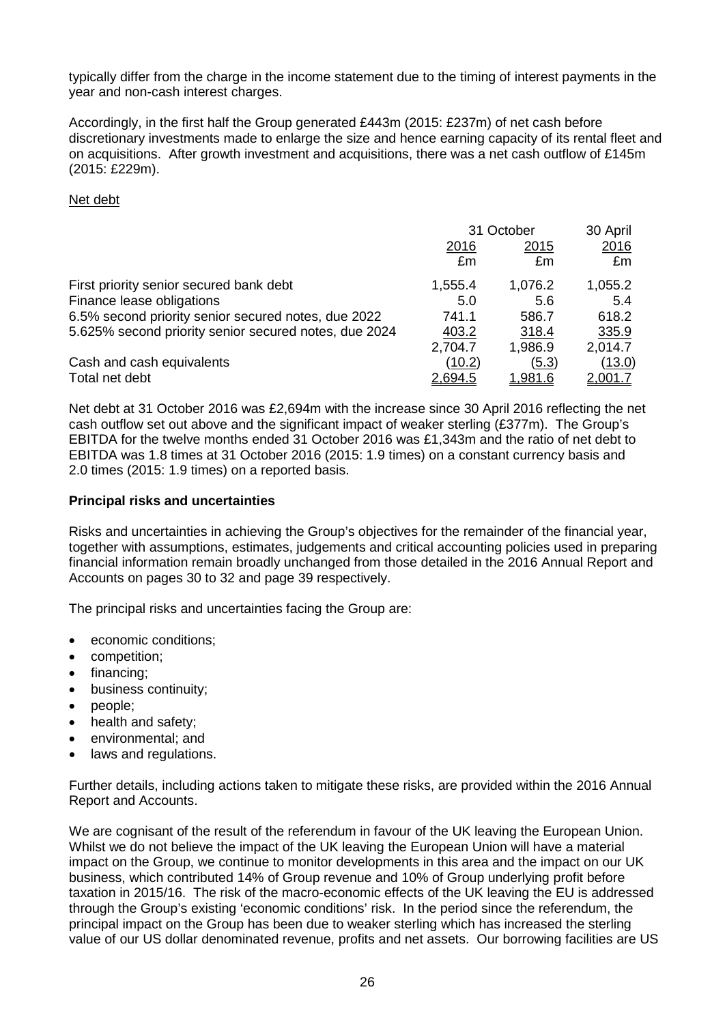typically differ from the charge in the income statement due to the timing of interest payments in the year and non-cash interest charges.

Accordingly, in the first half the Group generated £443m (2015: £237m) of net cash before discretionary investments made to enlarge the size and hence earning capacity of its rental fleet and on acquisitions. After growth investment and acquisitions, there was a net cash outflow of £145m (2015: £229m).

#### Net debt

|                                                       | 31 October |                | 30 April       |
|-------------------------------------------------------|------------|----------------|----------------|
|                                                       | 2016       | <u>2015</u>    | 2016           |
|                                                       | £m         | £m             | £m             |
| First priority senior secured bank debt               | 1,555.4    | 1,076.2        | 1,055.2        |
| Finance lease obligations                             | 5.0        | 5.6            | 5.4            |
| 6.5% second priority senior secured notes, due 2022   | 741.1      | 586.7          | 618.2          |
| 5.625% second priority senior secured notes, due 2024 | 403.2      | 318.4          | 335.9          |
|                                                       | 2,704.7    | 1,986.9        | 2,014.7        |
| Cash and cash equivalents                             | (10.2)     | (5.3)          | (13.0)         |
| Total net debt                                        | 2,694.5    | <u>1.981.6</u> | <u>2.001.7</u> |

Net debt at 31 October 2016 was £2,694m with the increase since 30 April 2016 reflecting the net cash outflow set out above and the significant impact of weaker sterling (£377m). The Group's EBITDA for the twelve months ended 31 October 2016 was £1,343m and the ratio of net debt to EBITDA was 1.8 times at 31 October 2016 (2015: 1.9 times) on a constant currency basis and 2.0 times (2015: 1.9 times) on a reported basis.

## **Principal risks and uncertainties**

Risks and uncertainties in achieving the Group's objectives for the remainder of the financial year, together with assumptions, estimates, judgements and critical accounting policies used in preparing financial information remain broadly unchanged from those detailed in the 2016 Annual Report and Accounts on pages 30 to 32 and page 39 respectively.

The principal risks and uncertainties facing the Group are:

- economic conditions;
- competition;
- financing;
- business continuity;
- people;
- health and safety;
- environmental; and
- laws and regulations.

Further details, including actions taken to mitigate these risks, are provided within the 2016 Annual Report and Accounts.

We are cognisant of the result of the referendum in favour of the UK leaving the European Union. Whilst we do not believe the impact of the UK leaving the European Union will have a material impact on the Group, we continue to monitor developments in this area and the impact on our UK business, which contributed 14% of Group revenue and 10% of Group underlying profit before taxation in 2015/16. The risk of the macro-economic effects of the UK leaving the EU is addressed through the Group's existing 'economic conditions' risk. In the period since the referendum, the principal impact on the Group has been due to weaker sterling which has increased the sterling value of our US dollar denominated revenue, profits and net assets. Our borrowing facilities are US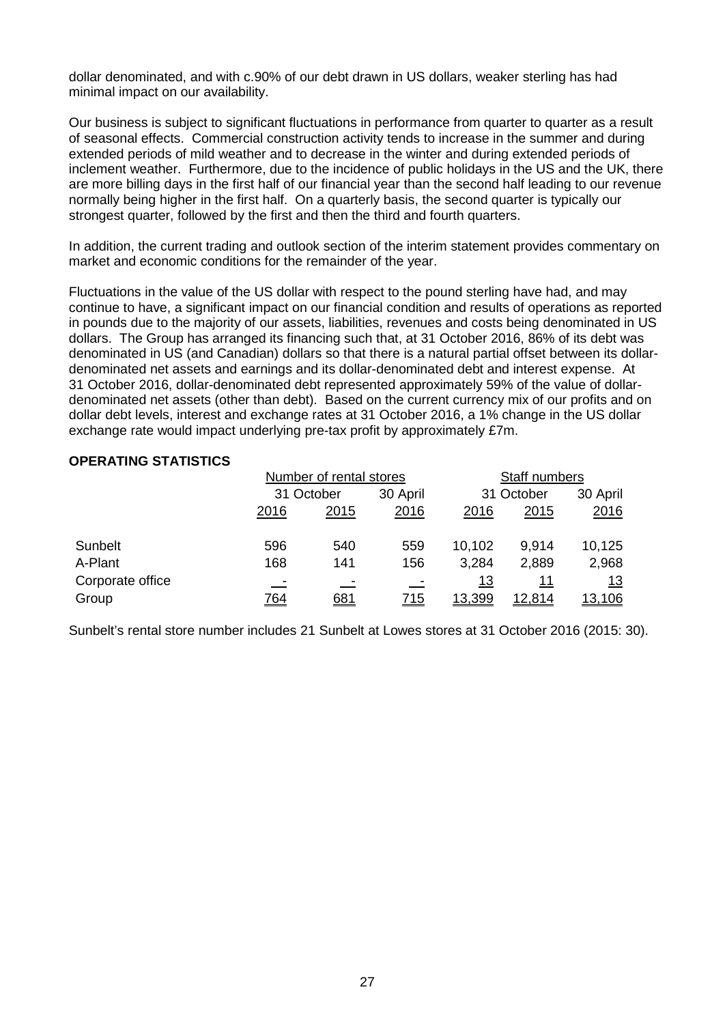dollar denominated, and with c.90% of our debt drawn in US dollars, weaker sterling has had minimal impact on our availability.

Our business is subject to significant fluctuations in performance from quarter to quarter as a result of seasonal effects. Commercial construction activity tends to increase in the summer and during extended periods of mild weather and to decrease in the winter and during extended periods of inclement weather. Furthermore, due to the incidence of public holidays in the US and the UK, there are more billing days in the first half of our financial year than the second half leading to our revenue normally being higher in the first half. On a quarterly basis, the second quarter is typically our strongest quarter, followed by the first and then the third and fourth quarters.

In addition, the current trading and outlook section of the interim statement provides commentary on market and economic conditions for the remainder of the year.

Fluctuations in the value of the US dollar with respect to the pound sterling have had, and may continue to have, a significant impact on our financial condition and results of operations as reported in pounds due to the majority of our assets, liabilities, revenues and costs being denominated in US dollars. The Group has arranged its financing such that, at 31 October 2016, 86% of its debt was denominated in US (and Canadian) dollars so that there is a natural partial offset between its dollardenominated net assets and earnings and its dollar-denominated debt and interest expense. At 31 October 2016, dollar-denominated debt represented approximately 59% of the value of dollardenominated net assets (other than debt). Based on the current currency mix of our profits and on dollar debt levels, interest and exchange rates at 31 October 2016, a 1% change in the US dollar exchange rate would impact underlying pre-tax profit by approximately £7m.

#### **OPERATING STATISTICS**

|                  |            | Number of rental stores |            |            | Staff numbers          |            |  |
|------------------|------------|-------------------------|------------|------------|------------------------|------------|--|
|                  |            | 31 October              |            |            | 31 October<br>30 April |            |  |
|                  | 2016       | 2015                    | 2016       | 2016       | 2015                   | 2016       |  |
| Sunbelt          | 596        | 540                     | 559        | 10,102     | 9,914                  | 10,125     |  |
| A-Plant          | 168        | 141                     | 156        | 3,284      | 2,889                  | 2,968      |  |
| Corporate office |            |                         |            | <u> 13</u> | <u> 11</u>             | <u> 13</u> |  |
| Group            | <u>764</u> | 681                     | <u>715</u> | 13,399     | <u>12,814</u>          | 13,106     |  |

Sunbelt's rental store number includes 21 Sunbelt at Lowes stores at 31 October 2016 (2015: 30).